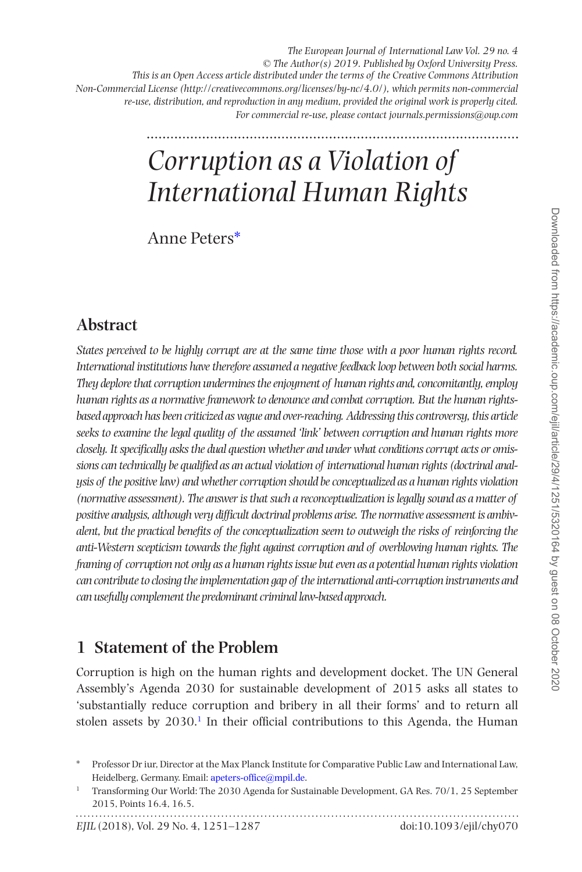*The European Journal of International Law Vol. 29 no. 4 © The Author(s) 2019. Published by Oxford University Press. This is an Open Access article distributed under the terms of the Creative Commons Attribution Non-Commercial License (http://creativecommons.org/licenses/by-nc/4.0/), which permits non-commercial re-use, distribution, and reproduction in any medium, provided the original work is properly cited. For commercial re-use, please contact journals.permissions@oup.com*

# *Corruption as a Violation of International Human Rights*

Anne Peters[\\*](#page-0-0)

# **Abstract**

*States perceived to be highly corrupt are at the same time those with a poor human rights record. International institutions have therefore assumed a negative feedback loop between both social harms. They deplore that corruption undermines the enjoyment of human rights and, concomitantly, employ human rights as a normative framework to denounce and combat corruption. But the human rightsbased approach has been criticized as vague and over-reaching. Addressing this controversy, this article seeks to examine the legal quality of the assumed 'link' between corruption and human rights more closely. It specifically asks the dual question whether and under what conditions corrupt acts or omissions can technically be qualified as an actual violation of international human rights (doctrinal analysis of the positive law) and whether corruption should be conceptualized as a human rights violation (normative assessment). The answer is that such a reconceptualization is legally sound as a matter of positive analysis, although very difficult doctrinal problems arise. The normative assessment is ambivalent, but the practical benefits of the conceptualization seem to outweigh the risks of reinforcing the anti-Western scepticism towards the fight against corruption and of overblowing human rights. The framing of corruption not only as a human rights issue but even as a potential human rights violation can contribute to closing the implementation gap of the international anti-corruption instruments and can usefully complement the predominant criminal law-based approach.*

# **1 Statement of the Problem**

Corruption is high on the human rights and development docket. The UN General Assembly's Agenda 2030 for sustainable development of 2015 asks all states to 'substantially reduce corruption and bribery in all their forms' and to return all stolen assets by  $2030$ .<sup>1</sup> In their official contributions to this Agenda, the Human

<span id="page-0-0"></span><sup>\*</sup> Professor Dr iur, Director at the Max Planck Institute for Comparative Public Law and International Law, Heidelberg, Germany. Email: [apeters-office@mpil.de.](mailto:apeters-office@mpil.de?subject=)

<span id="page-0-1"></span><sup>1</sup> Transforming Our World: The 2030 Agenda for Sustainable Development, GA Res. 70/1, 25 September 2015, Points 16.4, 16.5.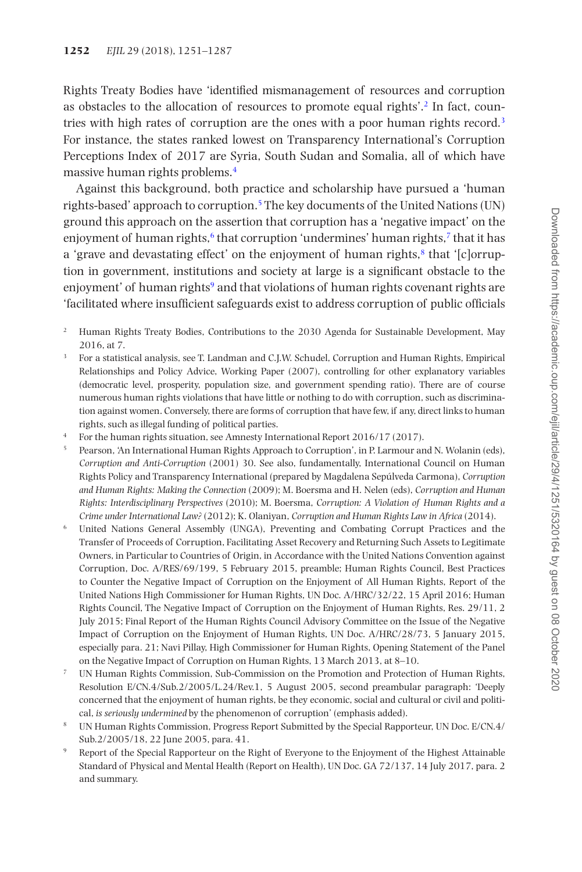Rights Treaty Bodies have 'identified mismanagement of resources and corruption as obstacles to the allocation of resources to promote equal rights'[.2](#page-1-0) In fact, coun-tries with high rates of corruption are the ones with a poor human rights record.<sup>[3](#page-1-1)</sup> For instance, the states ranked lowest on Transparency International's Corruption Perceptions Index of 2017 are Syria, South Sudan and Somalia, all of which have massive human rights problems.[4](#page-1-2)

Against this background, both practice and scholarship have pursued a 'human rights-based' approach to corruption[.5](#page-1-3) The key documents of the United Nations (UN) ground this approach on the assertion that corruption has a 'negative impact' on the enjoyment of human rights, $6$  that corruption 'undermines' human rights, $7$  that it has a 'grave and devastating effect' on the enjoyment of human rights, $8$  that '[c]orruption in government, institutions and society at large is a significant obstacle to the enjoyment' of human rights<sup>[9](#page-1-7)</sup> and that violations of human rights covenant rights are 'facilitated where insufficient safeguards exist to address corruption of public officials

- <span id="page-1-0"></span><sup>2</sup> Human Rights Treaty Bodies, Contributions to the 2030 Agenda for Sustainable Development, May 2016, at 7.
- <span id="page-1-1"></span><sup>3</sup> For a statistical analysis, see T. Landman and C.J.W. Schudel, Corruption and Human Rights, Empirical Relationships and Policy Advice, Working Paper (2007), controlling for other explanatory variables (democratic level, prosperity, population size, and government spending ratio). There are of course numerous human rights violations that have little or nothing to do with corruption, such as discrimination against women. Conversely, there are forms of corruption that have few, if any, direct links to human rights, such as illegal funding of political parties.
- <span id="page-1-2"></span><sup>4</sup> For the human rights situation, see Amnesty International Report 2016/17 (2017).
- <span id="page-1-3"></span><sup>5</sup> Pearson, 'An International Human Rights Approach to Corruption', in P. Larmour and N. Wolanin (eds), *Corruption and Anti-Corruption* (2001) 30. See also, fundamentally, International Council on Human Rights Policy and Transparency International (prepared by Magdalena Sepúlveda Carmona), *Corruption and Human Rights: Making the Connection* (2009); M. Boersma and H. Nelen (eds), *Corruption and Human Rights: Interdisciplinary Perspectives* (2010); M. Boersma, *Corruption: A Violation of Human Rights and a Crime under International Law?* (2012); K. Olaniyan, *Corruption and Human Rights Law in Africa* (2014).
- <span id="page-1-4"></span><sup>6</sup> United Nations General Assembly (UNGA), Preventing and Combating Corrupt Practices and the Transfer of Proceeds of Corruption, Facilitating Asset Recovery and Returning Such Assets to Legitimate Owners, in Particular to Countries of Origin, in Accordance with the United Nations Convention against Corruption, Doc. A/RES/69/199, 5 February 2015, preamble; Human Rights Council, Best Practices to Counter the Negative Impact of Corruption on the Enjoyment of All Human Rights, Report of the United Nations High Commissioner for Human Rights, UN Doc. A/HRC/32/22, 15 April 2016; Human Rights Council, The Negative Impact of Corruption on the Enjoyment of Human Rights, Res. 29/11, 2 July 2015; Final Report of the Human Rights Council Advisory Committee on the Issue of the Negative Impact of Corruption on the Enjoyment of Human Rights, UN Doc. A/HRC/28/73, 5 January 2015, especially para. 21; Navi Pillay, High Commissioner for Human Rights, Opening Statement of the Panel on the Negative Impact of Corruption on Human Rights, 13 March 2013, at 8–10.
- <span id="page-1-5"></span><sup>7</sup> UN Human Rights Commission, Sub-Commission on the Promotion and Protection of Human Rights, Resolution E/CN.4/Sub.2/2005/L.24/Rev.1, 5 August 2005, second preambular paragraph: 'Deeply concerned that the enjoyment of human rights, be they economic, social and cultural or civil and political, *is seriously undermined* by the phenomenon of corruption' (emphasis added).
- <span id="page-1-6"></span><sup>8</sup> UN Human Rights Commission, Progress Report Submitted by the Special Rapporteur, UN Doc. E/CN.4/ Sub.2/2005/18, 22 June 2005, para. 41.
- <span id="page-1-7"></span><sup>9</sup> Report of the Special Rapporteur on the Right of Everyone to the Enjoyment of the Highest Attainable Standard of Physical and Mental Health (Report on Health), UN Doc. GA 72/137, 14 July 2017, para. 2 and summary.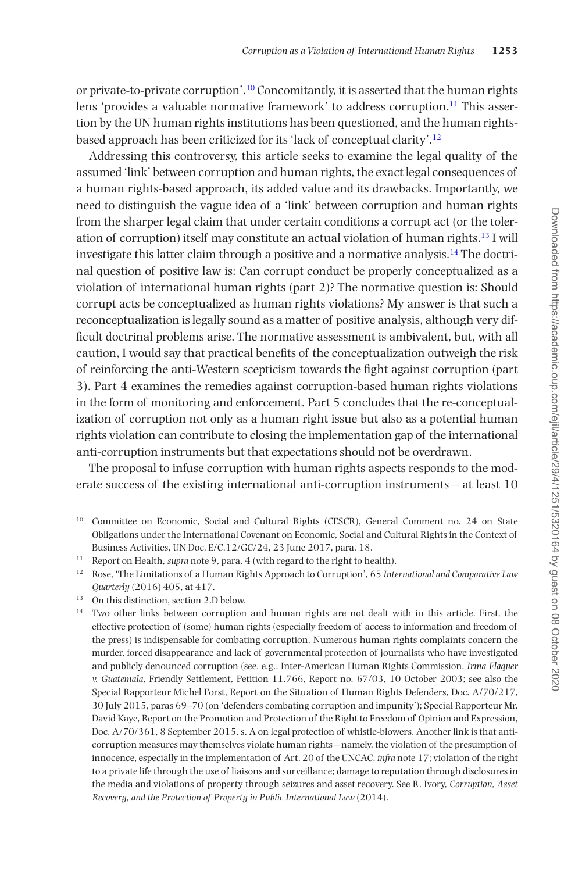or private-to-private corruption'[.10](#page-2-0) Concomitantly, it is asserted that the human rights lens 'provides a valuable normative framework' to address corruption.[11](#page-2-1) This assertion by the UN human rights institutions has been questioned, and the human rightsbased approach has been criticized for its 'lack of conceptual clarity'.[12](#page-2-2)

Addressing this controversy, this article seeks to examine the legal quality of the assumed 'link' between corruption and human rights, the exact legal consequences of a human rights-based approach, its added value and its drawbacks. Importantly, we need to distinguish the vague idea of a 'link' between corruption and human rights from the sharper legal claim that under certain conditions a corrupt act (or the toleration of corruption) itself may constitute an actual violation of human rights.[13](#page-2-3) I will investigate this latter claim through a positive and a normative analysis.<sup>14</sup> The doctrinal question of positive law is: Can corrupt conduct be properly conceptualized as a violation of international human rights (part 2)? The normative question is: Should corrupt acts be conceptualized as human rights violations? My answer is that such a reconceptualization is legally sound as a matter of positive analysis, although very difficult doctrinal problems arise. The normative assessment is ambivalent, but, with all caution, I would say that practical benefits of the conceptualization outweigh the risk of reinforcing the anti-Western scepticism towards the fight against corruption (part 3). Part 4 examines the remedies against corruption-based human rights violations in the form of monitoring and enforcement. Part 5 concludes that the re-conceptualization of corruption not only as a human right issue but also as a potential human rights violation can contribute to closing the implementation gap of the international anti-corruption instruments but that expectations should not be overdrawn.

The proposal to infuse corruption with human rights aspects responds to the moderate success of the existing international anti-corruption instruments – at least 10

- <span id="page-2-0"></span><sup>10</sup> Committee on Economic, Social and Cultural Rights (CESCR), General Comment no. 24 on State Obligations under the International Covenant on Economic, Social and Cultural Rights in the Context of Business Activities, UN Doc. E/C.12/GC/24, 23 June 2017, para. 18.
- <span id="page-2-1"></span><sup>11</sup> Report on Health, *supra* note 9, para. 4 (with regard to the right to health).
- <span id="page-2-2"></span><sup>12</sup> Rose, 'The Limitations of a Human Rights Approach to Corruption', 65 *International and Comparative Law Quarterly* (2016) 405, at 417.
- <span id="page-2-3"></span><sup>13</sup> On this distinction, section 2.D below.
- <span id="page-2-4"></span><sup>14</sup> Two other links between corruption and human rights are not dealt with in this article. First, the effective protection of (some) human rights (especially freedom of access to information and freedom of the press) is indispensable for combating corruption. Numerous human rights complaints concern the murder, forced disappearance and lack of governmental protection of journalists who have investigated and publicly denounced corruption (see, e.g., Inter-American Human Rights Commission, *Irma Flaquer v. Guatemala*, Friendly Settlement, Petition 11.766, Report no. 67/03, 10 October 2003; see also the Special Rapporteur Michel Forst, Report on the Situation of Human Rights Defenders, Doc. A/70/217, 30 July 2015, paras 69–70 (on 'defenders combating corruption and impunity'); Special Rapporteur Mr. David Kaye, Report on the Promotion and Protection of the Right to Freedom of Opinion and Expression, Doc. A/70/361, 8 September 2015, s. A on legal protection of whistle-blowers. Another link is that anticorruption measures may themselves violate human rights – namely, the violation of the presumption of innocence, especially in the implementation of Art. 20 of the UNCAC, *infra* note 17; violation of the right to a private life through the use of liaisons and surveillance; damage to reputation through disclosures in the media and violations of property through seizures and asset recovery. See R. Ivory, *Corruption, Asset Recovery, and the Protection of Property in Public International Law* (2014).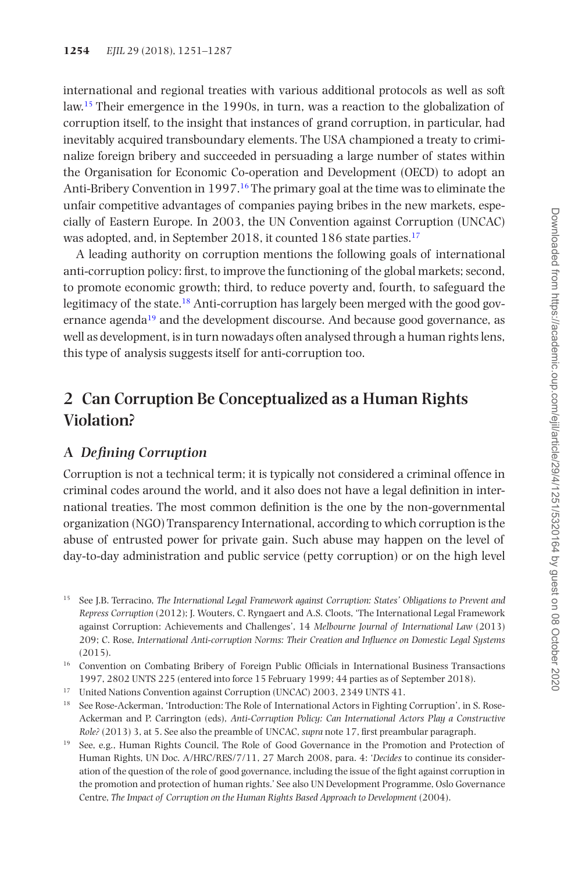international and regional treaties with various additional protocols as well as soft law.[15](#page-3-0) Their emergence in the 1990s, in turn, was a reaction to the globalization of corruption itself, to the insight that instances of grand corruption, in particular, had inevitably acquired transboundary elements. The USA championed a treaty to criminalize foreign bribery and succeeded in persuading a large number of states within the Organisation for Economic Co-operation and Development (OECD) to adopt an Anti-Bribery Convention in 1997.[16](#page-3-1) The primary goal at the time was to eliminate the unfair competitive advantages of companies paying bribes in the new markets, especially of Eastern Europe. In 2003, the UN Convention against Corruption (UNCAC) was adopted, and, in September 2018, it counted 186 state parties.<sup>[17](#page-3-2)</sup>

A leading authority on corruption mentions the following goals of international anti-corruption policy: first, to improve the functioning of the global markets; second, to promote economic growth; third, to reduce poverty and, fourth, to safeguard the legitimacy of the state[.18](#page-3-3) Anti-corruption has largely been merged with the good governance agenda<sup>19</sup> and the development discourse. And because good governance, as well as development, is in turn nowadays often analysed through a human rights lens, this type of analysis suggests itself for anti-corruption too.

# **2 Can Corruption Be Conceptualized as a Human Rights Violation?**

### **A** *Defining Corruption*

Corruption is not a technical term; it is typically not considered a criminal offence in criminal codes around the world, and it also does not have a legal definition in international treaties. The most common definition is the one by the non-governmental organization (NGO) Transparency International, according to which corruption is the abuse of entrusted power for private gain. Such abuse may happen on the level of day-to-day administration and public service (petty corruption) or on the high level

- <span id="page-3-3"></span><sup>18</sup> See Rose-Ackerman, 'Introduction: The Role of International Actors in Fighting Corruption', in S. Rose-Ackerman and P. Carrington (eds), *Anti-Corruption Policy: Can International Actors Play a Constructive Role?* (2013) 3, at 5. See also the preamble of UNCAC, *supra* note 17, first preambular paragraph.
- <span id="page-3-4"></span><sup>19</sup> See, e.g., Human Rights Council, The Role of Good Governance in the Promotion and Protection of Human Rights, UN Doc. A/HRC/RES/7/11, 27 March 2008, para. 4: '*Decides* to continue its consideration of the question of the role of good governance, including the issue of the fight against corruption in the promotion and protection of human rights.' See also UN Development Programme, Oslo Governance Centre, *The Impact of Corruption on the Human Rights Based Approach to Development* (2004).

<span id="page-3-0"></span><sup>15</sup> See J.B. Terracino, *The International Legal Framework against Corruption: States' Obligations to Prevent and Repress Corruption* (2012); J. Wouters, C. Ryngaert and A.S. Cloots, 'The International Legal Framework against Corruption: Achievements and Challenges', 14 *Melbourne Journal of International Law* (2013) 209; C. Rose, *International Anti-corruption Norms: Their Creation and Influence on Domestic Legal Systems* (2015).

<span id="page-3-1"></span><sup>&</sup>lt;sup>16</sup> Convention on Combating Bribery of Foreign Public Officials in International Business Transactions 1997, 2802 UNTS 225 (entered into force 15 February 1999; 44 parties as of September 2018).

<span id="page-3-2"></span><sup>17</sup> United Nations Convention against Corruption (UNCAC) 2003, 2349 UNTS 41.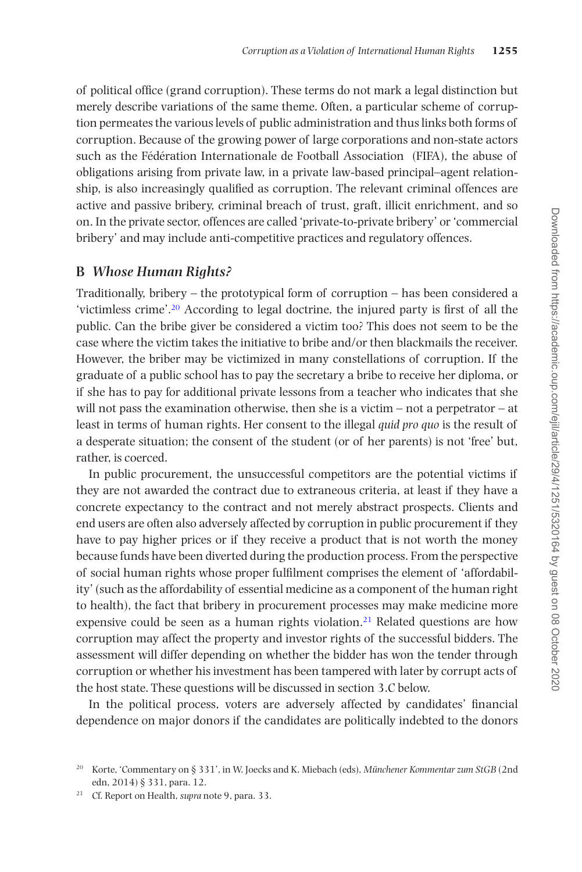of political office (grand corruption). These terms do not mark a legal distinction but merely describe variations of the same theme. Often, a particular scheme of corruption permeates the various levels of public administration and thus links both forms of corruption. Because of the growing power of large corporations and non-state actors such as the Fédération Internationale de Football Association (FIFA), the abuse of obligations arising from private law, in a private law-based principal–agent relationship, is also increasingly qualified as corruption. The relevant criminal offences are active and passive bribery, criminal breach of trust, graft, illicit enrichment, and so on. In the private sector, offences are called 'private-to-private bribery' or 'commercial bribery' and may include anti-competitive practices and regulatory offences.

#### **B** *Whose Human Rights?*

Traditionally, bribery – the prototypical form of corruption – has been considered a 'victimless crime'[.20](#page-4-0) According to legal doctrine, the injured party is first of all the public. Can the bribe giver be considered a victim too? This does not seem to be the case where the victim takes the initiative to bribe and/or then blackmails the receiver. However, the briber may be victimized in many constellations of corruption. If the graduate of a public school has to pay the secretary a bribe to receive her diploma, or if she has to pay for additional private lessons from a teacher who indicates that she will not pass the examination otherwise, then she is a victim – not a perpetrator – at least in terms of human rights. Her consent to the illegal *quid pro quo* is the result of a desperate situation; the consent of the student (or of her parents) is not 'free' but, rather, is coerced.

In public procurement, the unsuccessful competitors are the potential victims if they are not awarded the contract due to extraneous criteria, at least if they have a concrete expectancy to the contract and not merely abstract prospects. Clients and end users are often also adversely affected by corruption in public procurement if they have to pay higher prices or if they receive a product that is not worth the money because funds have been diverted during the production process. From the perspective of social human rights whose proper fulfilment comprises the element of 'affordability' (such as the affordability of essential medicine as a component of the human right to health), the fact that bribery in procurement processes may make medicine more expensive could be seen as a human rights violation.<sup>21</sup> Related questions are how corruption may affect the property and investor rights of the successful bidders. The assessment will differ depending on whether the bidder has won the tender through corruption or whether his investment has been tampered with later by corrupt acts of the host state. These questions will be discussed in section 3.C below.

In the political process, voters are adversely affected by candidates' financial dependence on major donors if the candidates are politically indebted to the donors

<span id="page-4-0"></span><sup>20</sup> Korte, 'Commentary on § 331', in W. Joecks and K. Miebach (eds), *Münchener Kommentar zum StGB* (2nd edn, 2014) § 331, para. 12.

<span id="page-4-1"></span><sup>21</sup> Cf. Report on Health, *supra* note 9, para. 33.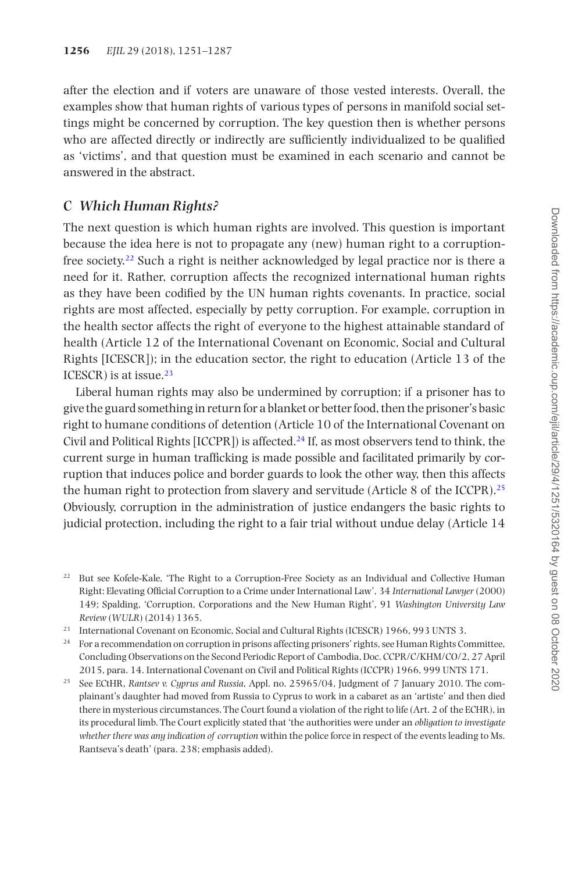after the election and if voters are unaware of those vested interests. Overall, the examples show that human rights of various types of persons in manifold social settings might be concerned by corruption. The key question then is whether persons who are affected directly or indirectly are sufficiently individualized to be qualified as 'victims', and that question must be examined in each scenario and cannot be answered in the abstract.

#### **C** *Which Human Rights?*

The next question is which human rights are involved. This question is important because the idea here is not to propagate any (new) human right to a corruptionfree society[.22](#page-5-0) Such a right is neither acknowledged by legal practice nor is there a need for it. Rather, corruption affects the recognized international human rights as they have been codified by the UN human rights covenants. In practice, social rights are most affected, especially by petty corruption. For example, corruption in the health sector affects the right of everyone to the highest attainable standard of health (Article 12 of the International Covenant on Economic, Social and Cultural Rights [ICESCR]); in the education sector, the right to education (Article 13 of the ICESCR) is at issue. $23$ 

Liberal human rights may also be undermined by corruption; if a prisoner has to give the guard something in return for a blanket or better food, then the prisoner's basic right to humane conditions of detention (Article 10 of the International Covenant on Civil and Political Rights [ICCPR]) is affected.<sup>24</sup> If, as most observers tend to think, the current surge in human trafficking is made possible and facilitated primarily by corruption that induces police and border guards to look the other way, then this affects the human right to protection from slavery and servitude (Article 8 of the ICCPR).[25](#page-5-3) Obviously, corruption in the administration of justice endangers the basic rights to judicial protection, including the right to a fair trial without undue delay (Article 14

<span id="page-5-0"></span><sup>22</sup> But see Kofele-Kale, 'The Right to a Corruption-Free Society as an Individual and Collective Human Right: Elevating Official Corruption to a Crime under International Law', 34 *International Lawyer* (2000) 149; Spalding, 'Corruption, Corporations and the New Human Right', 91 *Washington University Law Review* (*WULR*) (2014) 1365.

<span id="page-5-1"></span><sup>23</sup> International Covenant on Economic, Social and Cultural Rights (ICESCR) 1966, 993 UNTS 3.

<span id="page-5-2"></span><sup>24</sup> For a recommendation on corruption in prisons affecting prisoners' rights, see Human Rights Committee, Concluding Observations on the Second Periodic Report of Cambodia, Doc. CCPR/C/KHM/CO/2, 27 April 2015, para. 14. International Covenant on Civil and Political Rights (ICCPR) 1966, 999 UNTS 171.

<span id="page-5-3"></span><sup>25</sup> See ECtHR, *Rantsev v. Cyprus and Russia*, Appl. no. 25965/04, Judgment of 7 January 2010. The complainant's daughter had moved from Russia to Cyprus to work in a cabaret as an 'artiste' and then died there in mysterious circumstances. The Court found a violation of the right to life (Art. 2 of the ECHR), in its procedural limb. The Court explicitly stated that 'the authorities were under an *obligation to investigate whether there was any indication of corruption* within the police force in respect of the events leading to Ms. Rantseva's death' (para. 238; emphasis added).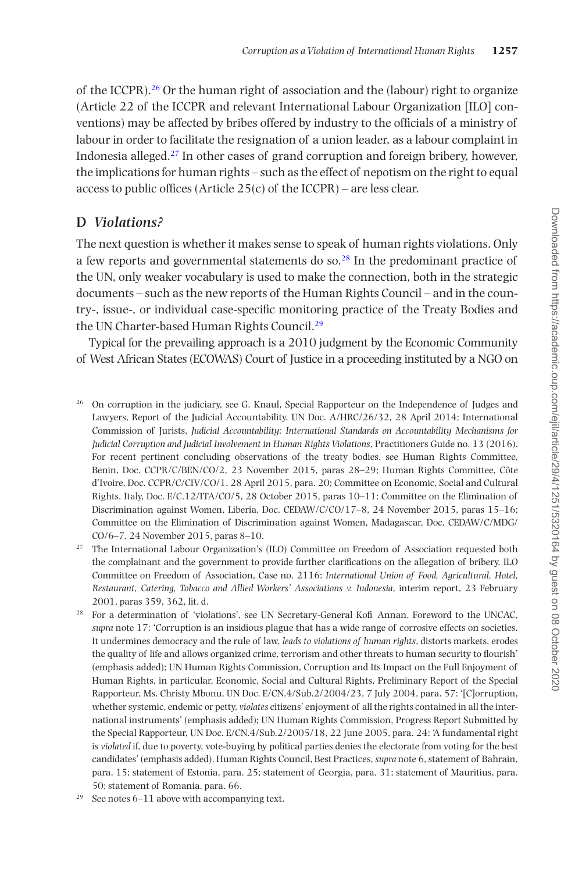of the ICCPR).<sup>26</sup> Or the human right of association and the (labour) right to organize (Article 22 of the ICCPR and relevant International Labour Organization [ILO] conventions) may be affected by bribes offered by industry to the officials of a ministry of labour in order to facilitate the resignation of a union leader, as a labour complaint in Indonesia alleged.[27](#page-6-1) In other cases of grand corruption and foreign bribery, however, the implications for human rights – such as the effect of nepotism on the right to equal access to public offices (Article  $25(c)$  of the ICCPR) – are less clear.

# **D** *Violations?*

The next question is whether it makes sense to speak of human rights violations. Only a few reports and governmental statements do so.[28](#page-6-2) In the predominant practice of the UN, only weaker vocabulary is used to make the connection, both in the strategic documents – such as the new reports of the Human Rights Council – and in the country-, issue-, or individual case-specific monitoring practice of the Treaty Bodies and the UN Charter-based Human Rights Council.<sup>29</sup>

Typical for the prevailing approach is a 2010 judgment by the Economic Community of West African States (ECOWAS) Court of Justice in a proceeding instituted by a NGO on

- <span id="page-6-0"></span><sup>26</sup> On corruption in the judiciary, see G. Knaul, Special Rapporteur on the Independence of Judges and Lawyers, Report of the Judicial Accountability, UN Doc. A/HRC/26/32, 28 April 2014; International Commission of Jurists, *Judicial Accountability: International Standards on Accountability Mechanisms for Judicial Corruption and Judicial Involvement in Human Rights Violations*, Practitioners Guide no. 13 (2016). For recent pertinent concluding observations of the treaty bodies, see Human Rights Committee, Benin, Doc. CCPR/C/BEN/CO/2, 23 November 2015, paras 28–29; Human Rights Committee, Côte d'Ivoire, Doc. CCPR/C/CIV/CO/1, 28 April 2015, para. 20; Committee on Economic, Social and Cultural Rights, Italy, Doc. E/C.12/ITA/CO/5, 28 October 2015, paras 10–11; Committee on the Elimination of Discrimination against Women, Liberia, Doc. CEDAW/C/CO/17–8, 24 November 2015, paras 15–16; Committee on the Elimination of Discrimination against Women, Madagascar, Doc. CEDAW/C/MDG/ CO/6–7, 24 November 2015, paras 8–10.
- <span id="page-6-1"></span><sup>27</sup> The International Labour Organization's (ILO) Committee on Freedom of Association requested both the complainant and the government to provide further clarifications on the allegation of bribery. ILO Committee on Freedom of Association, Case no. 2116: *International Union of Food, Agricultural, Hotel, Restaurant, Catering, Tobacco and Allied Workers' Associations v. Indonesia*, interim report, 23 February 2001, paras 359, 362, lit. d.
- <span id="page-6-2"></span><sup>28</sup> For a determination of 'violations', see UN Secretary-General Kofi Annan, Foreword to the UNCAC, *supra* note 17: 'Corruption is an insidious plague that has a wide range of corrosive effects on societies. It undermines democracy and the rule of law, *leads to violations of human rights*, distorts markets, erodes the quality of life and allows organized crime, terrorism and other threats to human security to flourish' (emphasis added); UN Human Rights Commission, Corruption and Its Impact on the Full Enjoyment of Human Rights, in particular, Economic, Social and Cultural Rights, Preliminary Report of the Special Rapporteur, Ms. Christy Mbonu, UN Doc. E/CN.4/Sub.2/2004/23, 7 July 2004, para. 57: '[C]orruption, whether systemic, endemic or petty, *violates* citizens' enjoyment of all the rights contained in all the international instruments' (emphasis added); UN Human Rights Commission, Progress Report Submitted by the Special Rapporteur, UN Doc. E/CN.4/Sub.2/2005/18, 22 June 2005, para. 24: 'A fundamental right is *violated* if, due to poverty, vote-buying by political parties denies the electorate from voting for the best candidates' (emphasis added). Human Rights Council, Best Practices, *supra* note 6, statement of Bahrain, para. 15; statement of Estonia, para. 25; statement of Georgia, para. 31; statement of Mauritius, para. 50; statement of Romania, para. 66.
- <span id="page-6-3"></span> $29$  See notes 6–11 above with accompanying text.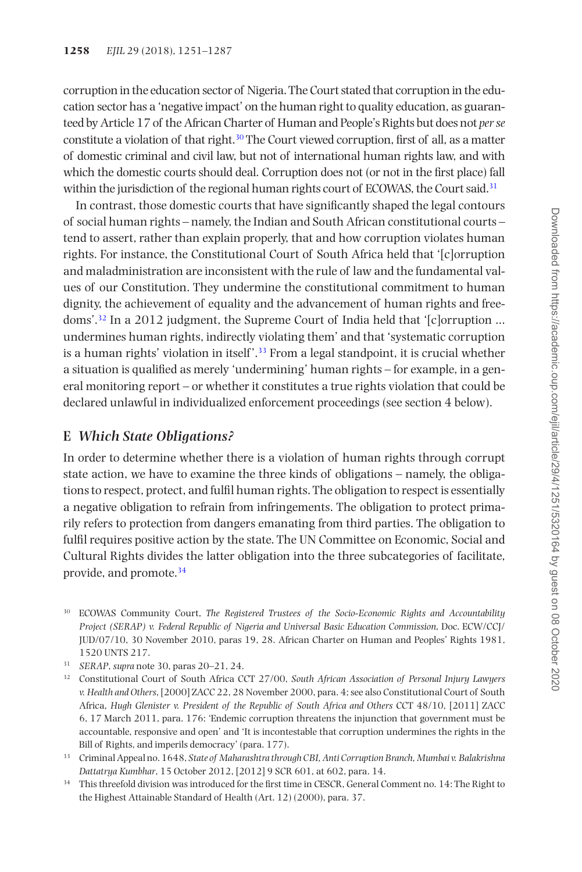corruption in the education sector of Nigeria. The Court stated that corruption in the education sector has a 'negative impact' on the human right to quality education, as guaranteed by Article 17 of the African Charter of Human and People's Rights but does not *per se* constitute a violation of that right[.30](#page-7-0) The Court viewed corruption, first of all, as a matter of domestic criminal and civil law, but not of international human rights law, and with which the domestic courts should deal. Corruption does not (or not in the first place) fall within the jurisdiction of the regional human rights court of ECOWAS, the Court said.<sup>31</sup>

In contrast, those domestic courts that have significantly shaped the legal contours of social human rights – namely, the Indian and South African constitutional courts – tend to assert, rather than explain properly, that and how corruption violates human rights. For instance, the Constitutional Court of South Africa held that '[c]orruption and maladministration are inconsistent with the rule of law and the fundamental values of our Constitution. They undermine the constitutional commitment to human dignity, the achievement of equality and the advancement of human rights and freedoms'[.32](#page-7-2) In a 2012 judgment, the Supreme Court of India held that '[c]orruption ... undermines human rights, indirectly violating them' and that 'systematic corruption is a human rights' violation in itself'.<sup>33</sup> From a legal standpoint, it is crucial whether a situation is qualified as merely 'undermining' human rights – for example, in a general monitoring report – or whether it constitutes a true rights violation that could be declared unlawful in individualized enforcement proceedings (see section 4 below).

#### **E** *Which State Obligations?*

In order to determine whether there is a violation of human rights through corrupt state action, we have to examine the three kinds of obligations – namely, the obligations to respect, protect, and fulfil human rights. The obligation to respect is essentially a negative obligation to refrain from infringements. The obligation to protect primarily refers to protection from dangers emanating from third parties. The obligation to fulfil requires positive action by the state. The UN Committee on Economic, Social and Cultural Rights divides the latter obligation into the three subcategories of facilitate, provide, and promote.[34](#page-7-4)

- <span id="page-7-0"></span><sup>30</sup> ECOWAS Community Court, *The Registered Trustees of the Socio-Economic Rights and Accountability Project (SERAP) v. Federal Republic of Nigeria and Universal Basic Education Commission*, Doc. ECW/CCJ/ JUD/07/10, 30 November 2010, paras 19, 28. African Charter on Human and Peoples' Rights 1981, 1520 UNTS 217.
- <span id="page-7-1"></span><sup>31</sup> *SERAP*, *supra* note 30, paras 20–21, 24.
- <span id="page-7-2"></span><sup>32</sup> Constitutional Court of South Africa CCT 27/00, *South African Association of Personal Injury Lawyers v. Health and Others*, [2000] ZACC 22, 28 November 2000, para. 4; see also Constitutional Court of South Africa, *Hugh Glenister v. President of the Republic of South Africa and Others* CCT 48/10, [2011] ZACC 6, 17 March 2011, para. 176: 'Endemic corruption threatens the injunction that government must be accountable, responsive and open' and 'It is incontestable that corruption undermines the rights in the Bill of Rights, and imperils democracy' (para. 177).
- <span id="page-7-3"></span><sup>33</sup> Criminal Appeal no. 1648, *State of Maharashtra through CBI, Anti Corruption Branch, Mumbai v. Balakrishna Dattatrya Kumbhar*, 15 October 2012, [2012] 9 SCR 601, at 602, para. 14.
- <span id="page-7-4"></span><sup>34</sup> This threefold division was introduced for the first time in CESCR, General Comment no. 14: The Right to the Highest Attainable Standard of Health (Art. 12) (2000), para. 37.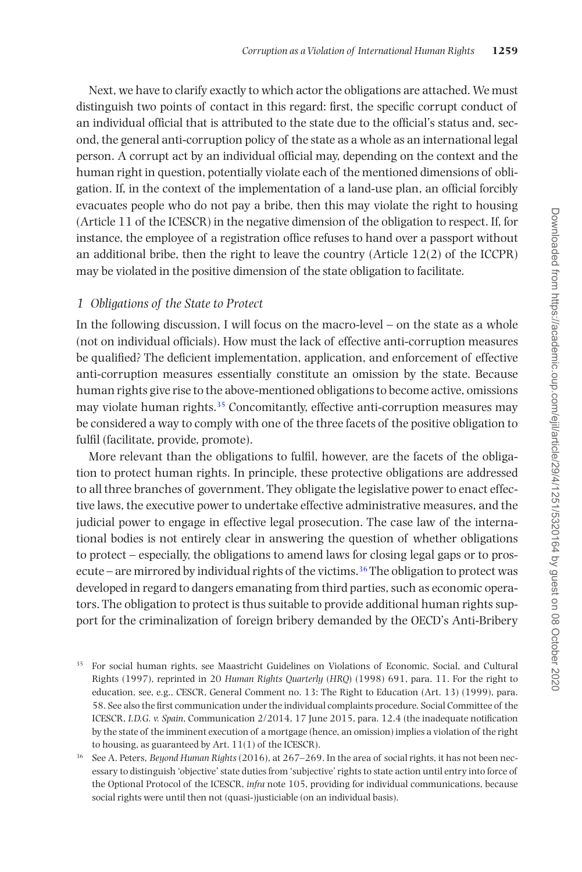Next, we have to clarify exactly to which actor the obligations are attached. We must distinguish two points of contact in this regard: first, the specific corrupt conduct of an individual official that is attributed to the state due to the official's status and, second, the general anti-corruption policy of the state as a whole as an international legal person. A corrupt act by an individual official may, depending on the context and the human right in question, potentially violate each of the mentioned dimensions of obligation. If, in the context of the implementation of a land-use plan, an official forcibly evacuates people who do not pay a bribe, then this may violate the right to housing (Article 11 of the ICESCR) in the negative dimension of the obligation to respect. If, for instance, the employee of a registration office refuses to hand over a passport without an additional bribe, then the right to leave the country (Article  $12(2)$ ) of the ICCPR) may be violated in the positive dimension of the state obligation to facilitate.

#### *1 Obligations of the State to Protect*

In the following discussion, I will focus on the macro-level – on the state as a whole (not on individual officials). How must the lack of effective anti-corruption measures be qualified? The deficient implementation, application, and enforcement of effective anti-corruption measures essentially constitute an omission by the state. Because human rights give rise to the above-mentioned obligations to become active, omissions may violate human rights.<sup>[35](#page-8-0)</sup> Concomitantly, effective anti-corruption measures may be considered a way to comply with one of the three facets of the positive obligation to fulfil (facilitate, provide, promote).

More relevant than the obligations to fulfil, however, are the facets of the obligation to protect human rights. In principle, these protective obligations are addressed to all three branches of government. They obligate the legislative power to enact effective laws, the executive power to undertake effective administrative measures, and the judicial power to engage in effective legal prosecution. The case law of the international bodies is not entirely clear in answering the question of whether obligations to protect – especially, the obligations to amend laws for closing legal gaps or to pros-ecute – are mirrored by individual rights of the victims.<sup>[36](#page-8-1)</sup> The obligation to protect was developed in regard to dangers emanating from third parties, such as economic operators. The obligation to protect is thus suitable to provide additional human rights support for the criminalization of foreign bribery demanded by the OECD's Anti-Bribery

<span id="page-8-0"></span><sup>&</sup>lt;sup>35</sup> For social human rights, see Maastricht Guidelines on Violations of Economic, Social, and Cultural Rights (1997), reprinted in 20 *Human Rights Quarterly* (*HRQ*) (1998) 691, para. 11. For the right to education, see, e.g., CESCR, General Comment no. 13: The Right to Education (Art. 13) (1999), para. 58. See also the first communication under the individual complaints procedure. Social Committee of the ICESCR, *I.D.G. v. Spain*, Communication 2/2014, 17 June 2015, para. 12.4 (the inadequate notification by the state of the imminent execution of a mortgage (hence, an omission) implies a violation of the right to housing, as guaranteed by Art. 11(1) of the ICESCR).

<span id="page-8-1"></span><sup>36</sup> See A. Peters, *Beyond Human Rights* (2016), at 267–269. In the area of social rights, it has not been necessary to distinguish 'objective' state duties from 'subjective' rights to state action until entry into force of the Optional Protocol of the ICESCR, *infra* note 105, providing for individual communications, because social rights were until then not (quasi-)justiciable (on an individual basis).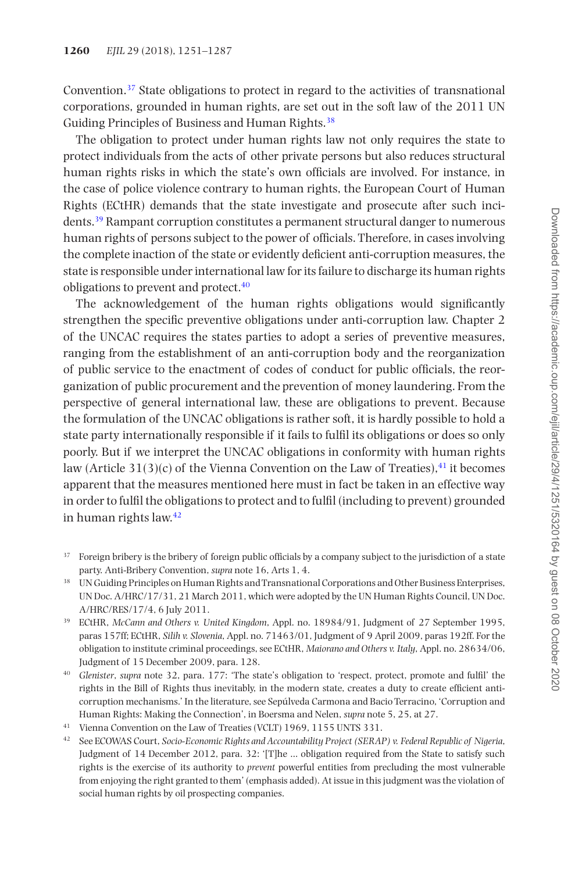Convention[.37](#page-9-0) State obligations to protect in regard to the activities of transnational corporations, grounded in human rights, are set out in the soft law of the 2011 UN Guiding Principles of Business and Human Rights.<sup>38</sup>

The obligation to protect under human rights law not only requires the state to protect individuals from the acts of other private persons but also reduces structural human rights risks in which the state's own officials are involved. For instance, in the case of police violence contrary to human rights, the European Court of Human Rights (ECtHR) demands that the state investigate and prosecute after such incidents[.39](#page-9-2) Rampant corruption constitutes a permanent structural danger to numerous human rights of persons subject to the power of officials. Therefore, in cases involving the complete inaction of the state or evidently deficient anti-corruption measures, the state is responsible under international law for its failure to discharge its human rights obligations to prevent and protect[.40](#page-9-3)

The acknowledgement of the human rights obligations would significantly strengthen the specific preventive obligations under anti-corruption law. Chapter 2 of the UNCAC requires the states parties to adopt a series of preventive measures, ranging from the establishment of an anti-corruption body and the reorganization of public service to the enactment of codes of conduct for public officials, the reorganization of public procurement and the prevention of money laundering. From the perspective of general international law, these are obligations to prevent. Because the formulation of the UNCAC obligations is rather soft, it is hardly possible to hold a state party internationally responsible if it fails to fulfil its obligations or does so only poorly. But if we interpret the UNCAC obligations in conformity with human rights law (Article 31(3)(c) of the Vienna Convention on the Law of Treaties),  $41$  it becomes apparent that the measures mentioned here must in fact be taken in an effective way in order to fulfil the obligations to protect and to fulfil (including to prevent) grounded in human rights law.[42](#page-9-5)

- <span id="page-9-0"></span><sup>37</sup> Foreign bribery is the bribery of foreign public officials by a company subject to the jurisdiction of a state party. Anti-Bribery Convention, *supra* note 16, Arts 1, 4.
- <span id="page-9-1"></span><sup>38</sup> UN Guiding Principles on Human Rights and Transnational Corporations and Other Business Enterprises, UN Doc. A/HRC/17/31, 21 March 2011, which were adopted by the UN Human Rights Council, UN Doc. A/HRC/RES/17/4, 6 July 2011.
- <span id="page-9-2"></span><sup>39</sup> ECtHR, *McCann and Others v. United Kingdom*, Appl. no. 18984/91, Judgment of 27 September 1995, paras 157ff; ECtHR, *Silih v. Slovenia*, Appl. no. 71463/01, Judgment of 9 April 2009, paras 192ff. For the obligation to institute criminal proceedings, see ECtHR, *Maiorano and Others v. Italy*, Appl. no. 28634/06, Judgment of 15 December 2009, para. 128.
- <span id="page-9-3"></span><sup>40</sup> *Glenister*, *supra* note 32, para. 177: 'The state's obligation to 'respect, protect, promote and fulfil' the rights in the Bill of Rights thus inevitably, in the modern state, creates a duty to create efficient anticorruption mechanisms.' In the literature, see Sepúlveda Carmona and Bacio Terracino, 'Corruption and Human Rights: Making the Connection', in Boersma and Nelen, *supra* note 5, 25, at 27.
- <span id="page-9-4"></span><sup>41</sup> Vienna Convention on the Law of Treaties (VCLT) 1969, 1155 UNTS 331.
- <span id="page-9-5"></span><sup>42</sup> See ECOWAS Court, *Socio-Economic Rights and Accountability Project (SERAP) v. Federal Republic of Nigeria*, Judgment of 14 December 2012, para. 32: '[T]he … obligation required from the State to satisfy such rights is the exercise of its authority to *prevent* powerful entities from precluding the most vulnerable from enjoying the right granted to them' (emphasis added). At issue in this judgment was the violation of social human rights by oil prospecting companies.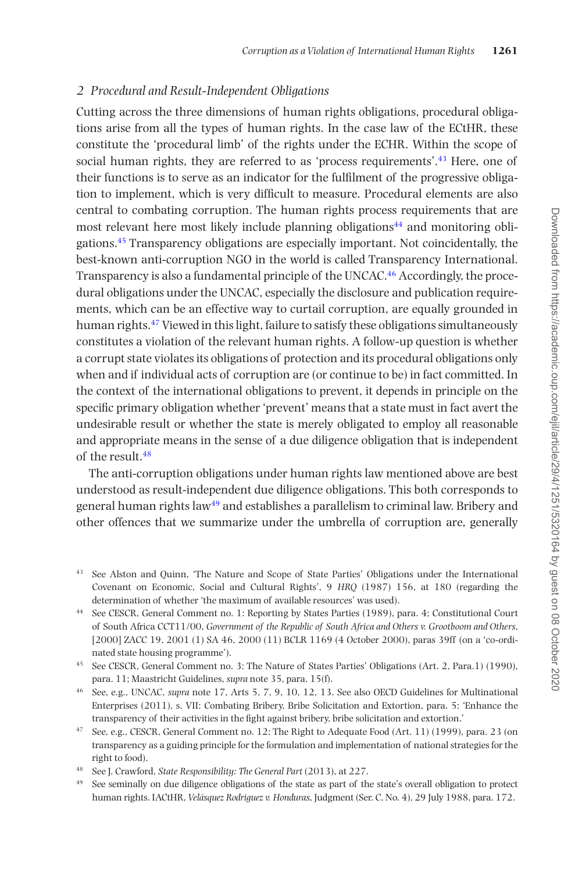#### *2 Procedural and Result-Independent Obligations*

Cutting across the three dimensions of human rights obligations, procedural obligations arise from all the types of human rights. In the case law of the ECtHR, these constitute the 'procedural limb' of the rights under the ECHR. Within the scope of social human rights, they are referred to as 'process requirements'.<sup>43</sup> Here, one of their functions is to serve as an indicator for the fulfilment of the progressive obligation to implement, which is very difficult to measure. Procedural elements are also central to combating corruption. The human rights process requirements that are most relevant here most likely include planning obligations<sup>[44](#page-10-1)</sup> and monitoring obligations[.45](#page-10-2) Transparency obligations are especially important. Not coincidentally, the best-known anti-corruption NGO in the world is called Transparency International. Transparency is also a fundamental principle of the UNCAC.<sup>[46](#page-10-3)</sup> Accordingly, the procedural obligations under the UNCAC, especially the disclosure and publication requirements, which can be an effective way to curtail corruption, are equally grounded in human rights.<sup>[47](#page-10-4)</sup> Viewed in this light, failure to satisfy these obligations simultaneously constitutes a violation of the relevant human rights. A follow-up question is whether a corrupt state violates its obligations of protection and its procedural obligations only when and if individual acts of corruption are (or continue to be) in fact committed. In the context of the international obligations to prevent, it depends in principle on the specific primary obligation whether 'prevent' means that a state must in fact avert the undesirable result or whether the state is merely obligated to employ all reasonable and appropriate means in the sense of a due diligence obligation that is independent of the result.[48](#page-10-5)

The anti-corruption obligations under human rights law mentioned above are best understood as result-independent due diligence obligations. This both corresponds to general human rights law[49](#page-10-6) and establishes a parallelism to criminal law. Bribery and other offences that we summarize under the umbrella of corruption are, generally

- <span id="page-10-0"></span><sup>43</sup> See Alston and Quinn, 'The Nature and Scope of State Parties' Obligations under the International Covenant on Economic, Social and Cultural Rights', 9 *HRQ* (1987) 156, at 180 (regarding the determination of whether 'the maximum of available resources' was used).
- <span id="page-10-1"></span><sup>44</sup> See CESCR, General Comment no. 1: Reporting by States Parties (1989), para. 4; Constitutional Court of South Africa CCT11/00, *Government of the Republic of South Africa and Others v. Grootboom and Others*, [2000] ZACC 19, 2001 (1) SA 46, 2000 (11) BCLR 1169 (4 October 2000), paras 39ff (on a 'co-ordinated state housing programme').
- <span id="page-10-2"></span><sup>45</sup> See CESCR, General Comment no. 3: The Nature of States Parties' Obligations (Art. 2, Para.1) (1990), para. 11; Maastricht Guidelines, *supra* note 35, para. 15(f).
- <span id="page-10-3"></span><sup>46</sup> See, e.g., UNCAC, *supra* note 17, Arts 5, 7, 9, 10, 12, 13. See also OECD Guidelines for Multinational Enterprises (2011), s. VII: Combating Bribery, Bribe Solicitation and Extortion, para. 5: 'Enhance the transparency of their activities in the fight against bribery, bribe solicitation and extortion.'
- <span id="page-10-4"></span><sup>47</sup> See, e.g., CESCR, General Comment no. 12: The Right to Adequate Food (Art. 11) (1999), para. 23 (on transparency as a guiding principle for the formulation and implementation of national strategies for the right to food).
- <span id="page-10-5"></span><sup>48</sup> See J. Crawford, *State Responsibility: The General Part* (2013), at 227.
- <span id="page-10-6"></span><sup>49</sup> See seminally on due diligence obligations of the state as part of the state's overall obligation to protect human rights. IACtHR, *Velásquez Rodriguez v. Honduras*, Judgment (Ser. C, No. 4), 29 July 1988, para. 172.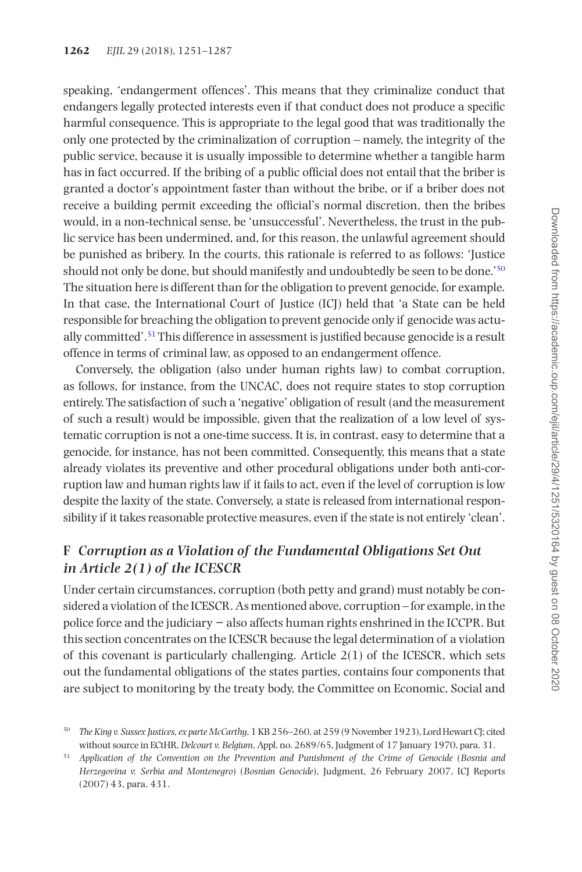speaking, 'endangerment offences'. This means that they criminalize conduct that endangers legally protected interests even if that conduct does not produce a specific harmful consequence. This is appropriate to the legal good that was traditionally the only one protected by the criminalization of corruption – namely, the integrity of the public service, because it is usually impossible to determine whether a tangible harm has in fact occurred. If the bribing of a public official does not entail that the briber is granted a doctor's appointment faster than without the bribe, or if a briber does not receive a building permit exceeding the official's normal discretion, then the bribes would, in a non-technical sense, be 'unsuccessful'. Nevertheless, the trust in the public service has been undermined, and, for this reason, the unlawful agreement should be punished as bribery. In the courts, this rationale is referred to as follows: 'Justice should not only be done, but should manifestly and undoubtedly be seen to be done.'[50](#page-11-0) The situation here is different than for the obligation to prevent genocide, for example. In that case, the International Court of Justice (ICJ) held that 'a State can be held responsible for breaching the obligation to prevent genocide only if genocide was actually committed'.[51](#page-11-1) This difference in assessment is justified because genocide is a result offence in terms of criminal law, as opposed to an endangerment offence.

Conversely, the obligation (also under human rights law) to combat corruption, as follows, for instance, from the UNCAC, does not require states to stop corruption entirely. The satisfaction of such a 'negative' obligation of result (and the measurement of such a result) would be impossible, given that the realization of a low level of systematic corruption is not a one-time success. It is, in contrast, easy to determine that a genocide, for instance, has not been committed. Consequently, this means that a state already violates its preventive and other procedural obligations under both anti-corruption law and human rights law if it fails to act, even if the level of corruption is low despite the laxity of the state. Conversely, a state is released from international responsibility if it takes reasonable protective measures, even if the state is not entirely 'clean'.

# **F** *Corruption as a Violation of the Fundamental Obligations Set Out in Article 2(1) of the ICESCR*

Under certain circumstances, corruption (both petty and grand) must notably be considered a violation of the ICESCR. As mentioned above, corruption – for example, in the police force and the judiciary − also affects human rights enshrined in the ICCPR. But this section concentrates on the ICESCR because the legal determination of a violation of this covenant is particularly challenging. Article  $2(1)$  of the ICESCR, which sets out the fundamental obligations of the states parties, contains four components that are subject to monitoring by the treaty body, the Committee on Economic, Social and

<span id="page-11-0"></span><sup>50</sup> *The King v. Sussex Justices, ex parte McCarthy*, 1 KB 256–260, at 259 (9 November 1923), Lord Hewart CJ; cited without source in ECtHR, *Delcourt v. Belgium*, Appl. no. 2689/65, Judgment of 17 January 1970, para. 31.

<span id="page-11-1"></span><sup>51</sup> *Application of the Convention on the Prevention and Punishment of the Crime of Genocide* (*Bosnia and Herzegovina v. Serbia and Montenegro*) (*Bosnian Genocide*), Judgment, 26 February 2007, ICJ Reports (2007) 43, para. 431.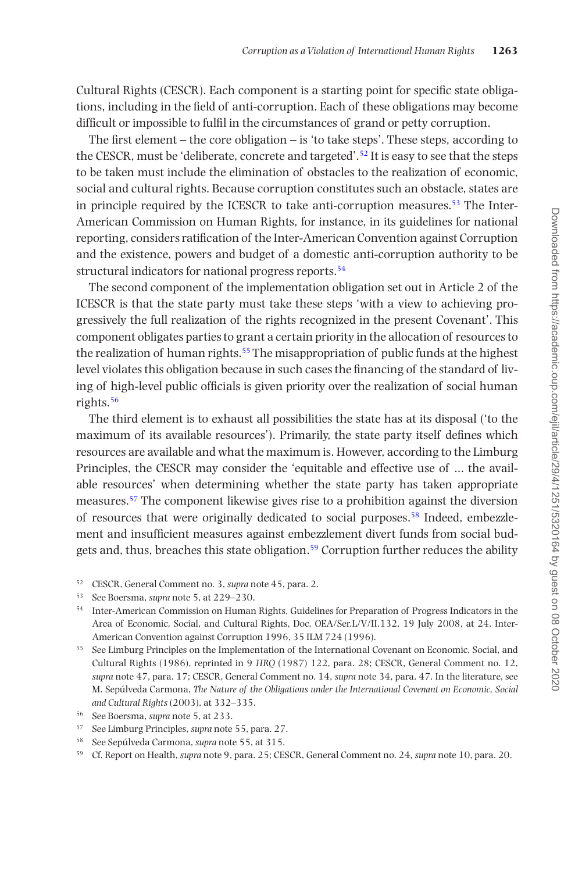Cultural Rights (CESCR). Each component is a starting point for specific state obligations, including in the field of anti-corruption. Each of these obligations may become difficult or impossible to fulfil in the circumstances of grand or petty corruption.

The first element – the core obligation – is 'to take steps'. These steps, according to the CESCR, must be 'deliberate, concrete and targeted'.<sup>52</sup> It is easy to see that the steps to be taken must include the elimination of obstacles to the realization of economic, social and cultural rights. Because corruption constitutes such an obstacle, states are in principle required by the ICESCR to take anti-corruption measures.<sup>53</sup> The Inter-American Commission on Human Rights, for instance, in its guidelines for national reporting, considers ratification of the Inter-American Convention against Corruption and the existence, powers and budget of a domestic anti-corruption authority to be structural indicators for national progress reports.<sup>54</sup>

The second component of the implementation obligation set out in Article 2 of the ICESCR is that the state party must take these steps 'with a view to achieving progressively the full realization of the rights recognized in the present Covenant'. This component obligates parties to grant a certain priority in the allocation of resources to the realization of human rights.<sup>55</sup> The misappropriation of public funds at the highest level violates this obligation because in such cases the financing of the standard of living of high-level public officials is given priority over the realization of social human rights.[56](#page-12-4)

The third element is to exhaust all possibilities the state has at its disposal ('to the maximum of its available resources'). Primarily, the state party itself defines which resources are available and what the maximum is. However, according to the Limburg Principles, the CESCR may consider the 'equitable and effective use of ... the available resources' when determining whether the state party has taken appropriate measures[.57](#page-12-5) The component likewise gives rise to a prohibition against the diversion of resources that were originally dedicated to social purposes[.58](#page-12-6) Indeed, embezzlement and insufficient measures against embezzlement divert funds from social bud-gets and, thus, breaches this state obligation.<sup>[59](#page-12-7)</sup> Corruption further reduces the ability

- <span id="page-12-4"></span><sup>56</sup> See Boersma, *supra* note 5, at 233.
- <span id="page-12-5"></span><sup>57</sup> See Limburg Principles, *supra* note 55, para. 27.
- <span id="page-12-6"></span><sup>58</sup> See Sepúlveda Carmona, *supra* note 55, at 315.
- <span id="page-12-7"></span><sup>59</sup> Cf. Report on Health, *supra* note 9, para. 25; CESCR, General Comment no. 24, *supra* note 10, para. 20.

<span id="page-12-0"></span><sup>52</sup> CESCR, General Comment no. 3, *supra* note 45, para. 2.

<span id="page-12-1"></span><sup>53</sup> See Boersma, *supra* note 5, at 229–230.

<span id="page-12-2"></span><sup>54</sup> Inter-American Commission on Human Rights, Guidelines for Preparation of Progress Indicators in the Area of Economic, Social, and Cultural Rights, Doc. OEA/Ser.L/V/II.132, 19 July 2008, at 24. Inter-American Convention against Corruption 1996, 35 ILM 724 (1996).

<span id="page-12-3"></span><sup>&</sup>lt;sup>55</sup> See Limburg Principles on the Implementation of the International Covenant on Economic, Social, and Cultural Rights (1986), reprinted in 9 *HRQ* (1987) 122, para. 28; CESCR, General Comment no. 12, *supra* note 47, para. 17; CESCR, General Comment no. 14, *supra* note 34, para. 47. In the literature, see M. Sepúlveda Carmona, *The Nature of the Obligations under the International Covenant on Economic, Social and Cultural Rights* (2003), at 332–335.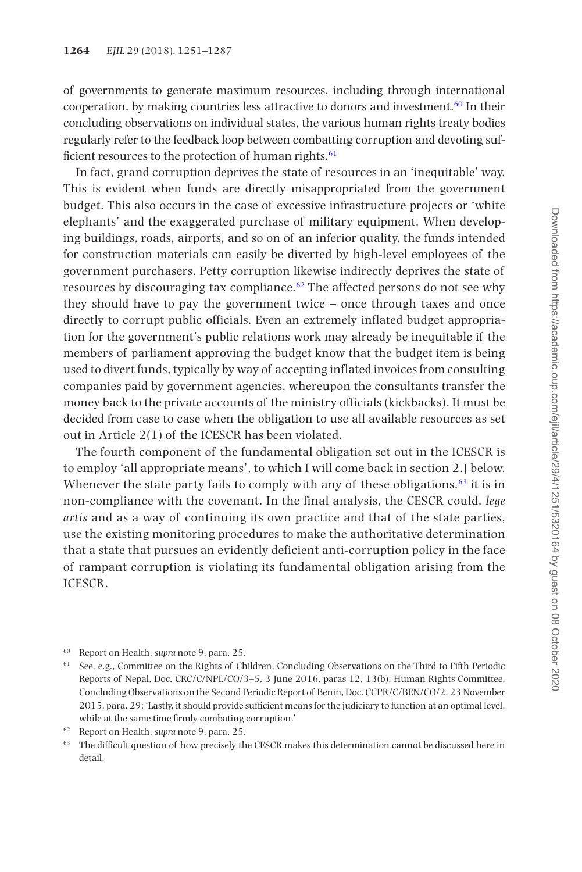of governments to generate maximum resources, including through international cooperation, by making countries less attractive to donors and investment[.60](#page-13-0) In their concluding observations on individual states, the various human rights treaty bodies regularly refer to the feedback loop between combatting corruption and devoting sufficient resources to the protection of human rights. $61$ 

In fact, grand corruption deprives the state of resources in an 'inequitable' way. This is evident when funds are directly misappropriated from the government budget. This also occurs in the case of excessive infrastructure projects or 'white elephants' and the exaggerated purchase of military equipment. When developing buildings, roads, airports, and so on of an inferior quality, the funds intended for construction materials can easily be diverted by high-level employees of the government purchasers. Petty corruption likewise indirectly deprives the state of resources by discouraging tax compliance.<sup>[62](#page-13-2)</sup> The affected persons do not see why they should have to pay the government twice – once through taxes and once directly to corrupt public officials. Even an extremely inflated budget appropriation for the government's public relations work may already be inequitable if the members of parliament approving the budget know that the budget item is being used to divert funds, typically by way of accepting inflated invoices from consulting companies paid by government agencies, whereupon the consultants transfer the money back to the private accounts of the ministry officials (kickbacks). It must be decided from case to case when the obligation to use all available resources as set out in Article 2(1) of the ICESCR has been violated.

The fourth component of the fundamental obligation set out in the ICESCR is to employ 'all appropriate means', to which I will come back in section 2.J below. Whenever the state party fails to comply with any of these obligations, $63$  it is in non-compliance with the covenant. In the final analysis, the CESCR could, *lege artis* and as a way of continuing its own practice and that of the state parties, use the existing monitoring procedures to make the authoritative determination that a state that pursues an evidently deficient anti-corruption policy in the face of rampant corruption is violating its fundamental obligation arising from the ICESCR.

<span id="page-13-0"></span><sup>60</sup> Report on Health, *supra* note 9, para. 25.

<span id="page-13-1"></span><sup>&</sup>lt;sup>61</sup> See, e.g., Committee on the Rights of Children, Concluding Observations on the Third to Fifth Periodic Reports of Nepal, Doc. CRC/C/NPL/CO/3–5, 3 June 2016, paras 12, 13(b); Human Rights Committee, Concluding Observations on the Second Periodic Report of Benin, Doc. CCPR/C/BEN/CO/2, 23 November 2015, para. 29: 'Lastly, it should provide sufficient means for the judiciary to function at an optimal level, while at the same time firmly combating corruption.'

<span id="page-13-2"></span><sup>62</sup> Report on Health, *supra* note 9, para. 25.

<span id="page-13-3"></span><sup>&</sup>lt;sup>63</sup> The difficult question of how precisely the CESCR makes this determination cannot be discussed here in detail.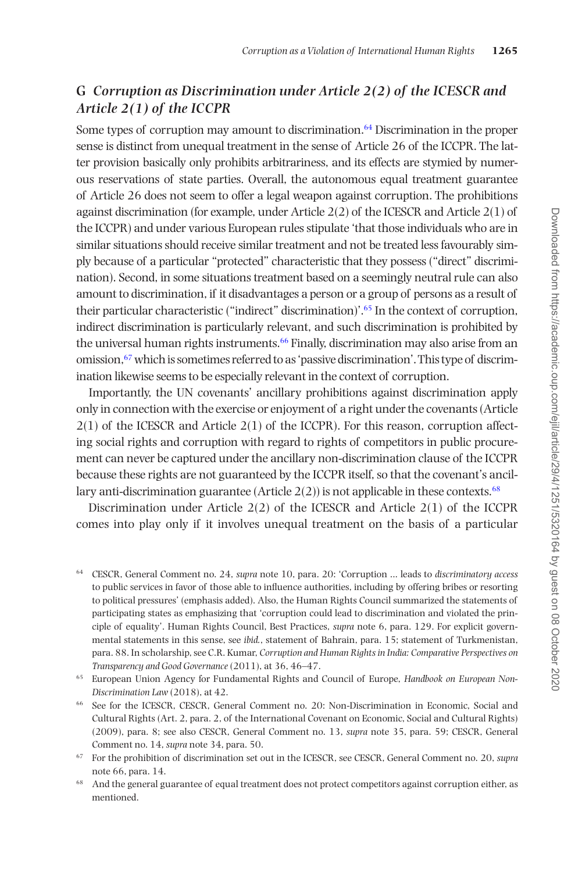# **G** *Corruption as Discrimination under Article 2(2) of the ICESCR and Article 2(1) of the ICCPR*

Some types of corruption may amount to discrimination.<sup>[64](#page-14-0)</sup> Discrimination in the proper sense is distinct from unequal treatment in the sense of Article 26 of the ICCPR. The latter provision basically only prohibits arbitrariness, and its effects are stymied by numerous reservations of state parties. Overall, the autonomous equal treatment guarantee of Article 26 does not seem to offer a legal weapon against corruption. The prohibitions against discrimination (for example, under Article 2(2) of the ICESCR and Article 2(1) of the ICCPR) and under various European rules stipulate 'that those individuals who are in similar situations should receive similar treatment and not be treated less favourably simply because of a particular "protected" characteristic that they possess ("direct" discrimination). Second, in some situations treatment based on a seemingly neutral rule can also amount to discrimination, if it disadvantages a person or a group of persons as a result of their particular characteristic ("indirect" discrimination)'.[65](#page-14-1) In the context of corruption, indirect discrimination is particularly relevant, and such discrimination is prohibited by the universal human rights instruments.<sup>66</sup> Finally, discrimination may also arise from an omission[,67](#page-14-3) which is sometimes referred to as 'passive discrimination'. This type of discrimination likewise seems to be especially relevant in the context of corruption.

Importantly, the UN covenants' ancillary prohibitions against discrimination apply only in connection with the exercise or enjoyment of a right under the covenants (Article  $2(1)$  of the ICESCR and Article  $2(1)$  of the ICCPR). For this reason, corruption affecting social rights and corruption with regard to rights of competitors in public procurement can never be captured under the ancillary non-discrimination clause of the ICCPR because these rights are not guaranteed by the ICCPR itself, so that the covenant's ancillary anti-discrimination guarantee (Article  $2(2)$ ) is not applicable in these contexts.<sup>68</sup>

Discrimination under Article  $2(2)$  of the ICESCR and Article  $2(1)$  of the ICCPR comes into play only if it involves unequal treatment on the basis of a particular

<span id="page-14-1"></span><sup>65</sup> European Union Agency for Fundamental Rights and Council of Europe, *Handbook on European Non-Discrimination Law* (2018), at 42.

- <span id="page-14-2"></span><sup>66</sup> See for the ICESCR, CESCR, General Comment no. 20: Non-Discrimination in Economic, Social and Cultural Rights (Art. 2, para. 2, of the International Covenant on Economic, Social and Cultural Rights) (2009), para. 8; see also CESCR, General Comment no. 13, *supra* note 35, para. 59; CESCR, General Comment no. 14, *supra* note 34, para. 50.
- <span id="page-14-3"></span><sup>67</sup> For the prohibition of discrimination set out in the ICESCR, see CESCR, General Comment no. 20, *supra* note 66, para. 14.
- <span id="page-14-4"></span><sup>68</sup> And the general guarantee of equal treatment does not protect competitors against corruption either, as mentioned.

<span id="page-14-0"></span><sup>64</sup> CESCR, General Comment no. 24, *supra* note 10, para. 20: 'Corruption ... leads to *discriminatory access* to public services in favor of those able to influence authorities, including by offering bribes or resorting to political pressures' (emphasis added). Also, the Human Rights Council summarized the statements of participating states as emphasizing that 'corruption could lead to discrimination and violated the principle of equality'. Human Rights Council, Best Practices, *supra* note 6, para. 129. For explicit governmental statements in this sense, see *ibid.*, statement of Bahrain, para. 15; statement of Turkmenistan, para. 88. In scholarship, see C.R. Kumar, *Corruption and Human Rights in India: Comparative Perspectives on Transparency and Good Governance* (2011), at 36, 46–47.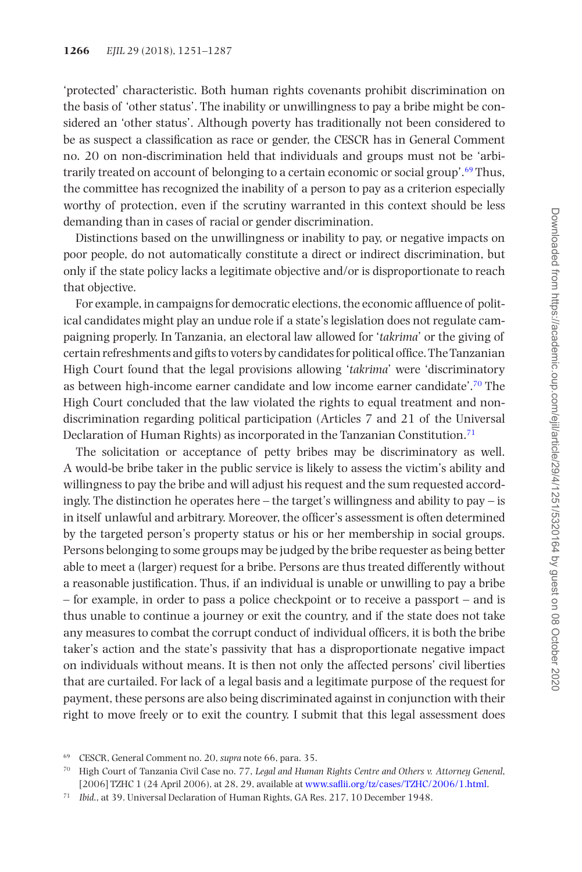'protected' characteristic. Both human rights covenants prohibit discrimination on the basis of 'other status'. The inability or unwillingness to pay a bribe might be considered an 'other status'. Although poverty has traditionally not been considered to be as suspect a classification as race or gender, the CESCR has in General Comment no. 20 on non-discrimination held that individuals and groups must not be 'arbitrarily treated on account of belonging to a certain economic or social group'[.69](#page-15-0) Thus, the committee has recognized the inability of a person to pay as a criterion especially worthy of protection, even if the scrutiny warranted in this context should be less demanding than in cases of racial or gender discrimination.

Distinctions based on the unwillingness or inability to pay, or negative impacts on poor people, do not automatically constitute a direct or indirect discrimination, but only if the state policy lacks a legitimate objective and/or is disproportionate to reach that objective.

For example, in campaigns for democratic elections, the economic affluence of political candidates might play an undue role if a state's legislation does not regulate campaigning properly. In Tanzania, an electoral law allowed for '*takrima*' or the giving of certain refreshments and gifts to voters by candidates for political office. The Tanzanian High Court found that the legal provisions allowing '*takrima*' were 'discriminatory as between high-income earner candidate and low income earner candidate'.[70](#page-15-1) The High Court concluded that the law violated the rights to equal treatment and nondiscrimination regarding political participation (Articles 7 and 21 of the Universal Declaration of Human Rights) as incorporated in the Tanzanian Constitution.<sup>[71](#page-15-2)</sup>

The solicitation or acceptance of petty bribes may be discriminatory as well. A would-be bribe taker in the public service is likely to assess the victim's ability and willingness to pay the bribe and will adjust his request and the sum requested accordingly. The distinction he operates here – the target's willingness and ability to pay – is in itself unlawful and arbitrary. Moreover, the officer's assessment is often determined by the targeted person's property status or his or her membership in social groups. Persons belonging to some groups may be judged by the bribe requester as being better able to meet a (larger) request for a bribe. Persons are thus treated differently without a reasonable justification. Thus, if an individual is unable or unwilling to pay a bribe – for example, in order to pass a police checkpoint or to receive a passport – and is thus unable to continue a journey or exit the country, and if the state does not take any measures to combat the corrupt conduct of individual officers, it is both the bribe taker's action and the state's passivity that has a disproportionate negative impact on individuals without means. It is then not only the affected persons' civil liberties that are curtailed. For lack of a legal basis and a legitimate purpose of the request for payment, these persons are also being discriminated against in conjunction with their right to move freely or to exit the country. I submit that this legal assessment does

<span id="page-15-0"></span><sup>69</sup> CESCR, General Comment no. 20, *supra* note 66, para. 35.

<span id="page-15-1"></span><sup>70</sup> High Court of Tanzania Civil Case no. 77, *Legal and Human Rights Centre and Others v. Attorney General*, [2006] TZHC 1 (24 April 2006), at 28, 29, available at [www.saflii.org/tz/cases/TZHC/2006/1.html](http://www.saflii.org/tz/cases/TZHC/2006/1.html).

<span id="page-15-2"></span><sup>71</sup> *Ibid*., at 39. Universal Declaration of Human Rights, GA Res. 217, 10 December 1948.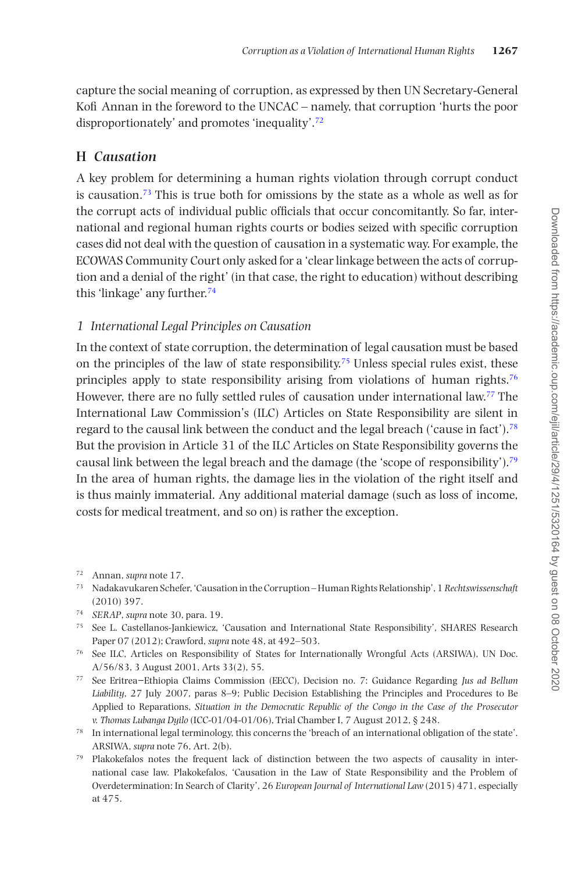capture the social meaning of corruption, as expressed by then UN Secretary-General Kofi Annan in the foreword to the UNCAC – namely, that corruption 'hurts the poor disproportionately' and promotes 'inequality'.[72](#page-16-0)

#### **H** *Causation*

A key problem for determining a human rights violation through corrupt conduct is causation.<sup>[73](#page-16-1)</sup> This is true both for omissions by the state as a whole as well as for the corrupt acts of individual public officials that occur concomitantly. So far, international and regional human rights courts or bodies seized with specific corruption cases did not deal with the question of causation in a systematic way. For example, the ECOWAS Community Court only asked for a 'clear linkage between the acts of corruption and a denial of the right' (in that case, the right to education) without describing this 'linkage' any further.[74](#page-16-2)

#### *1 International Legal Principles on Causation*

In the context of state corruption, the determination of legal causation must be based on the principles of the law of state responsibility.<sup>[75](#page-16-3)</sup> Unless special rules exist, these principles apply to state responsibility arising from violations of human rights[.76](#page-16-4) However, there are no fully settled rules of causation under international law.[77](#page-16-5) The International Law Commission's (ILC) Articles on State Responsibility are silent in regard to the causal link between the conduct and the legal breach ('cause in fact')[.78](#page-16-6) But the provision in Article 31 of the ILC Articles on State Responsibility governs the causal link between the legal breach and the damage (the 'scope of responsibility')[.79](#page-16-7) In the area of human rights, the damage lies in the violation of the right itself and is thus mainly immaterial. Any additional material damage (such as loss of income, costs for medical treatment, and so on) is rather the exception.

<span id="page-16-0"></span><sup>72</sup> Annan, *supra* note 17.

- <span id="page-16-1"></span><sup>73</sup> Nadakavukaren Schefer, 'Causation in the Corruption – Human Rights Relationship', 1 *Rechtswissenschaft* (2010) 397.
- <span id="page-16-2"></span><sup>74</sup> *SERAP*, *supra* note 30, para. 19.
- <span id="page-16-3"></span><sup>75</sup> See L. Castellanos-Jankiewicz, 'Causation and International State Responsibility', SHARES Research Paper 07 (2012); Crawford, *supra* note 48, at 492–503.
- <span id="page-16-4"></span><sup>76</sup> See ILC, Articles on Responsibility of States for Internationally Wrongful Acts (ARSIWA), UN Doc. A/56/83, 3 August 2001, Arts 33(2), 55.
- <span id="page-16-5"></span><sup>77</sup> See Eritrea−Ethiopia Claims Commission (EECC), Decision no. 7: Guidance Regarding *Jus ad Bellum Liability*, 27 July 2007, paras 8–9; Public Decision Establishing the Principles and Procedures to Be Applied to Reparations, *Situation in the Democratic Republic of the Congo in the Case of the Prosecutor v. Thomas Lubanga Dyilo* (ICC-01/04-01/06), Trial Chamber I, 7 August 2012, § 248.
- <span id="page-16-6"></span><sup>78</sup> In international legal terminology, this concerns the 'breach of an international obligation of the state'. ARSIWA, *supra* note 76, Art. 2(b).
- <span id="page-16-7"></span><sup>79</sup> Plakokefalos notes the frequent lack of distinction between the two aspects of causality in international case law. Plakokefalos, 'Causation in the Law of State Responsibility and the Problem of Overdetermination: In Search of Clarity', 26 *European Journal of International Law* (2015) 471, especially at 475.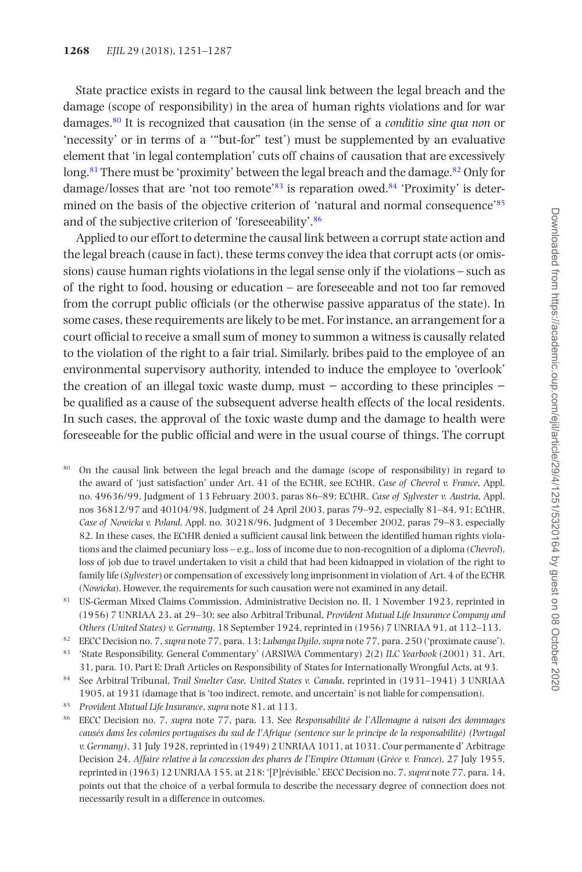State practice exists in regard to the causal link between the legal breach and the damage (scope of responsibility) in the area of human rights violations and for war damages.[80](#page-17-0) It is recognized that causation (in the sense of a *conditio sine qua non* or 'necessity' or in terms of a '"but-for" test') must be supplemented by an evaluative element that 'in legal contemplation' cuts off chains of causation that are excessively long.<sup>81</sup> There must be 'proximity' between the legal breach and the damage.<sup>82</sup> Only for damage/losses that are 'not too remote'[83](#page-17-3) is reparation owed[.84](#page-17-4) 'Proximity' is deter-mined on the basis of the objective criterion of 'natural and normal consequence'<sup>[85](#page-17-5)</sup> and of the subjective criterion of 'foreseeability'[.86](#page-17-6)

Applied to our effort to determine the causal link between a corrupt state action and the legal breach (cause in fact), these terms convey the idea that corrupt acts (or omissions) cause human rights violations in the legal sense only if the violations – such as of the right to food, housing or education – are foreseeable and not too far removed from the corrupt public officials (or the otherwise passive apparatus of the state). In some cases, these requirements are likely to be met. For instance, an arrangement for a court official to receive a small sum of money to summon a witness is causally related to the violation of the right to a fair trial. Similarly, bribes paid to the employee of an environmental supervisory authority, intended to induce the employee to 'overlook' the creation of an illegal toxic waste dump, must − according to these principles − be qualified as a cause of the subsequent adverse health effects of the local residents. In such cases, the approval of the toxic waste dump and the damage to health were foreseeable for the public official and were in the usual course of things. The corrupt

- <span id="page-17-0"></span><sup>80</sup> On the causal link between the legal breach and the damage (scope of responsibility) in regard to the award of 'just satisfaction' under Art. 41 of the ECHR, see ECtHR, *Case of Chevrol v. France*, Appl. no. 49636/99, Judgment of 13 February 2003, paras 86–89; ECtHR, *Case of Sylvester v. Austria*, Appl. nos 36812/97 and 40104/98, Judgment of 24 April 2003, paras 79–92, especially 81–84, 91; ECtHR, *Case of Nowicka v. Poland*, Appl. no. 30218/96, Judgment of 3 December 2002, paras 79–83, especially 82. In these cases, the ECtHR denied a sufficient causal link between the identified human rights violations and the claimed pecuniary loss – e.g., loss of income due to non-recognition of a diploma (*Chevrol*), loss of job due to travel undertaken to visit a child that had been kidnapped in violation of the right to family life (*Sylvester*) or compensation of excessively long imprisonment in violation of Art. 4 of the ECHR (*Nowicka*). However, the requirements for such causation were not examined in any detail.
- <span id="page-17-1"></span><sup>81</sup> US-German Mixed Claims Commission, Administrative Decision no. II, 1 November 1923, reprinted in (1956) 7 UNRIAA 23, at 29–30; see also Arbitral Tribunal, *Provident Mutual Life Insurance Company and Others (United States) v. Germany*, 18 September 1924, reprinted in (1956) 7 UNRIAA 91, at 112–113.
- <span id="page-17-2"></span><sup>82</sup> EECC Decision no. 7, *supra* note 77, para. 13; *Lubanga Dyilo*, *supra* note 77, para. 250 ('proximate cause').
- <span id="page-17-3"></span><sup>83</sup> 'State Responsibility, General Commentary' (ARSIWA Commentary) 2(2) *ILC Yearbook* (2001) 31, Art. 31, para. 10, Part E: Draft Articles on Responsibility of States for Internationally Wrongful Acts, at 93.
- <span id="page-17-4"></span><sup>84</sup> See Arbitral Tribunal, *Trail Smelter Case, United States v. Canada*, reprinted in (1931–1941) 3 UNRIAA 1905, at 1931 (damage that is 'too indirect, remote, and uncertain' is not liable for compensation).
- <span id="page-17-5"></span><sup>85</sup> *Provident Mutual Life Insurance*, *supra* note 81, at 113.
- <span id="page-17-6"></span><sup>86</sup> EECC Decision no. 7, *supra* note 77, para. 13. See *Responsabilité de l'Allemagne à raison des dommages causés dans les colonies portugaises du sud de l'Afrique (sentence sur le principe de la responsabilité) (Portugal v. Germany)*, 31 July 1928, reprinted in (1949) 2 UNRIAA 1011, at 1031. Cour permanente d' Arbitrage Decision 24, *Affaire relative à la concession des phares de l'Empire Ottoman* (*Grèce v. France*), 27 July 1955, reprinted in (1963) 12 UNRIAA 155, at 218: '[P]révisible.' EECC Decision no. 7, *supra* note 77, para. 14, points out that the choice of a verbal formula to describe the necessary degree of connection does not necessarily result in a difference in outcomes.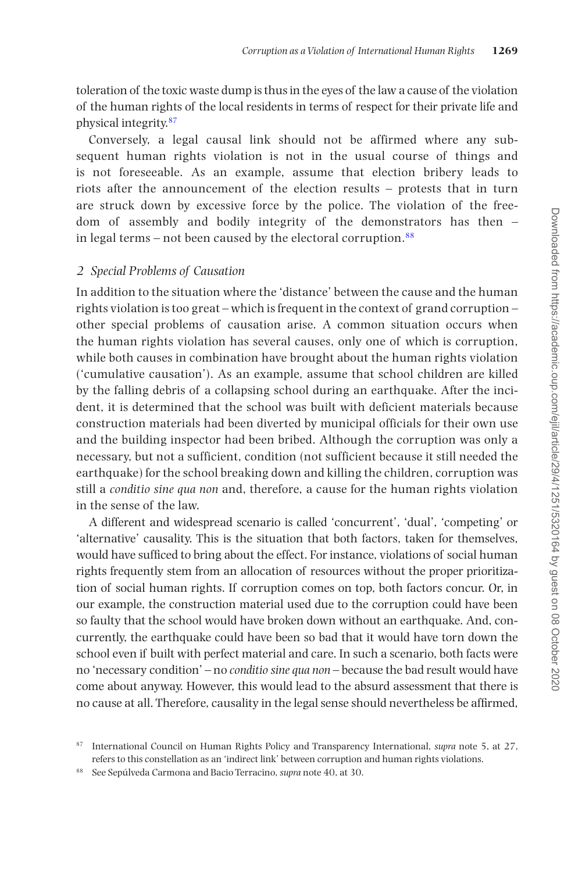toleration of the toxic waste dump is thus in the eyes of the law a cause of the violation of the human rights of the local residents in terms of respect for their private life and physical integrity[.87](#page-18-0)

Conversely, a legal causal link should not be affirmed where any subsequent human rights violation is not in the usual course of things and is not foreseeable. As an example, assume that election bribery leads to riots after the announcement of the election results – protests that in turn are struck down by excessive force by the police. The violation of the freedom of assembly and bodily integrity of the demonstrators has then – in legal terms – not been caused by the electoral corruption. $88$ 

#### *2 Special Problems of Causation*

In addition to the situation where the 'distance' between the cause and the human rights violation is too great – which is frequent in the context of grand corruption – other special problems of causation arise. A common situation occurs when the human rights violation has several causes, only one of which is corruption, while both causes in combination have brought about the human rights violation ('cumulative causation'). As an example, assume that school children are killed by the falling debris of a collapsing school during an earthquake. After the incident, it is determined that the school was built with deficient materials because construction materials had been diverted by municipal officials for their own use and the building inspector had been bribed. Although the corruption was only a necessary, but not a sufficient, condition (not sufficient because it still needed the earthquake) for the school breaking down and killing the children, corruption was still a *conditio sine qua non* and, therefore, a cause for the human rights violation in the sense of the law.

A different and widespread scenario is called 'concurrent', 'dual', 'competing' or 'alternative' causality. This is the situation that both factors, taken for themselves, would have sufficed to bring about the effect. For instance, violations of social human rights frequently stem from an allocation of resources without the proper prioritization of social human rights. If corruption comes on top, both factors concur. Or, in our example, the construction material used due to the corruption could have been so faulty that the school would have broken down without an earthquake. And, concurrently, the earthquake could have been so bad that it would have torn down the school even if built with perfect material and care. In such a scenario, both facts were no 'necessary condition' – no *conditio sine qua non* – because the bad result would have come about anyway. However, this would lead to the absurd assessment that there is no cause at all. Therefore, causality in the legal sense should nevertheless be affirmed,

<span id="page-18-0"></span><sup>87</sup> International Council on Human Rights Policy and Transparency International, *supra* note 5, at 27, refers to this constellation as an 'indirect link' between corruption and human rights violations.

<span id="page-18-1"></span><sup>88</sup> See Sepúlveda Carmona and Bacio Terracino, *supra* note 40, at 30.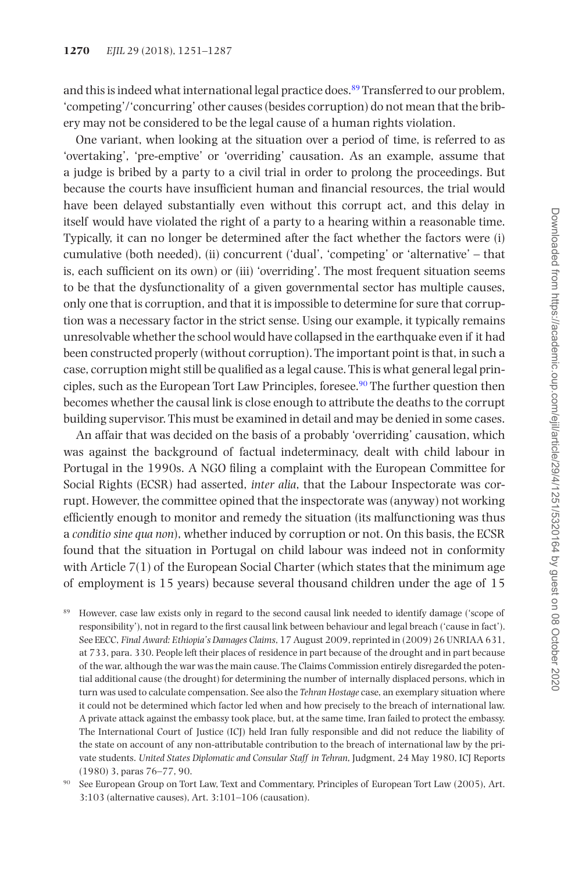and this is indeed what international legal practice does.<sup>89</sup> Transferred to our problem, 'competing'/'concurring' other causes (besides corruption) do not mean that the bribery may not be considered to be the legal cause of a human rights violation.

One variant, when looking at the situation over a period of time, is referred to as 'overtaking', 'pre-emptive' or 'overriding' causation. As an example, assume that a judge is bribed by a party to a civil trial in order to prolong the proceedings. But because the courts have insufficient human and financial resources, the trial would have been delayed substantially even without this corrupt act, and this delay in itself would have violated the right of a party to a hearing within a reasonable time. Typically, it can no longer be determined after the fact whether the factors were (i) cumulative (both needed), (ii) concurrent ('dual', 'competing' or 'alternative' – that is, each sufficient on its own) or (iii) 'overriding'. The most frequent situation seems to be that the dysfunctionality of a given governmental sector has multiple causes, only one that is corruption, and that it is impossible to determine for sure that corruption was a necessary factor in the strict sense. Using our example, it typically remains unresolvable whether the school would have collapsed in the earthquake even if it had been constructed properly (without corruption). The important point is that, in such a case, corruption might still be qualified as a legal cause. This is what general legal principles, such as the European Tort Law Principles, foresee.<sup>90</sup> The further question then becomes whether the causal link is close enough to attribute the deaths to the corrupt building supervisor. This must be examined in detail and may be denied in some cases.

An affair that was decided on the basis of a probably 'overriding' causation, which was against the background of factual indeterminacy, dealt with child labour in Portugal in the 1990s. A NGO filing a complaint with the European Committee for Social Rights (ECSR) had asserted, *inter alia*, that the Labour Inspectorate was corrupt. However, the committee opined that the inspectorate was (anyway) not working efficiently enough to monitor and remedy the situation (its malfunctioning was thus a *conditio sine qua non*), whether induced by corruption or not. On this basis, the ECSR found that the situation in Portugal on child labour was indeed not in conformity with Article  $7(1)$  of the European Social Charter (which states that the minimum age of employment is 15 years) because several thousand children under the age of 15

<span id="page-19-0"></span><sup>89</sup> However, case law exists only in regard to the second causal link needed to identify damage ('scope of responsibility'), not in regard to the first causal link between behaviour and legal breach ('cause in fact'). See EECC, *Final Award: Ethiopia's Damages Claims*, 17 August 2009, reprinted in (2009) 26 UNRIAA 631, at 733, para. 330. People left their places of residence in part because of the drought and in part because of the war, although the war was the main cause. The Claims Commission entirely disregarded the potential additional cause (the drought) for determining the number of internally displaced persons, which in turn was used to calculate compensation. See also the *Tehran Hostage* case, an exemplary situation where it could not be determined which factor led when and how precisely to the breach of international law. A private attack against the embassy took place, but, at the same time, Iran failed to protect the embassy. The International Court of Justice (ICJ) held Iran fully responsible and did not reduce the liability of the state on account of any non-attributable contribution to the breach of international law by the private students. *United States Diplomatic and Consular Staff in Tehran*, Judgment, 24 May 1980, ICJ Reports (1980) 3, paras 76–77, 90.

<span id="page-19-1"></span><sup>90</sup> See European Group on Tort Law, Text and Commentary, Principles of European Tort Law (2005), Art. 3:103 (alternative causes), Art. 3:101–106 (causation).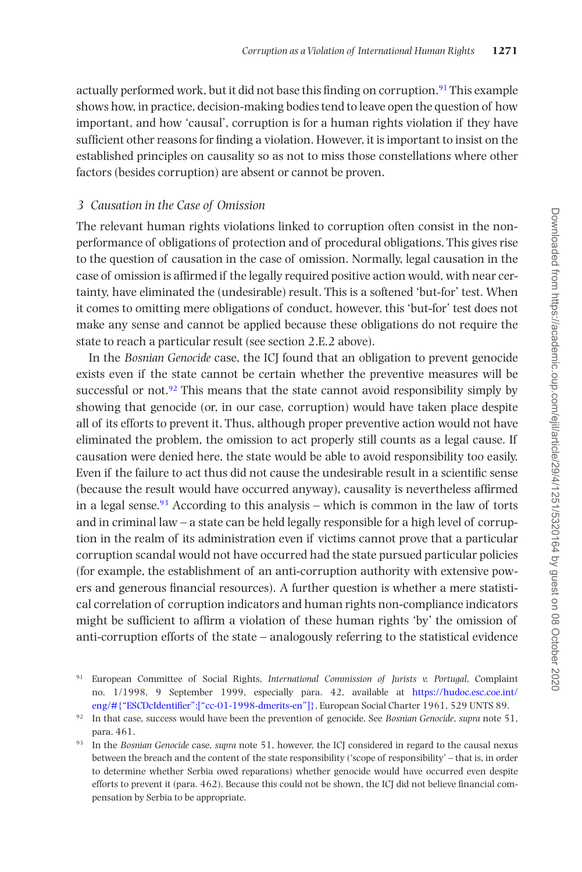actually performed work, but it did not base this finding on corruption.<sup>[91](#page-20-0)</sup> This example shows how, in practice, decision-making bodies tend to leave open the question of how important, and how 'causal', corruption is for a human rights violation if they have sufficient other reasons for finding a violation. However, it is important to insist on the established principles on causality so as not to miss those constellations where other factors (besides corruption) are absent or cannot be proven.

#### *3 Causation in the Case of Omission*

The relevant human rights violations linked to corruption often consist in the nonperformance of obligations of protection and of procedural obligations. This gives rise to the question of causation in the case of omission. Normally, legal causation in the case of omission is affirmed if the legally required positive action would, with near certainty, have eliminated the (undesirable) result. This is a softened 'but-for' test. When it comes to omitting mere obligations of conduct, however, this 'but-for' test does not make any sense and cannot be applied because these obligations do not require the state to reach a particular result (see section 2.E.2 above).

In the *Bosnian Genocide* case, the ICJ found that an obligation to prevent genocide exists even if the state cannot be certain whether the preventive measures will be successful or not. $92$  This means that the state cannot avoid responsibility simply by showing that genocide (or, in our case, corruption) would have taken place despite all of its efforts to prevent it. Thus, although proper preventive action would not have eliminated the problem, the omission to act properly still counts as a legal cause. If causation were denied here, the state would be able to avoid responsibility too easily. Even if the failure to act thus did not cause the undesirable result in a scientific sense (because the result would have occurred anyway), causality is nevertheless affirmed in a legal sense. $93$  According to this analysis – which is common in the law of torts and in criminal law – a state can be held legally responsible for a high level of corruption in the realm of its administration even if victims cannot prove that a particular corruption scandal would not have occurred had the state pursued particular policies (for example, the establishment of an anti-corruption authority with extensive powers and generous financial resources). A further question is whether a mere statistical correlation of corruption indicators and human rights non-compliance indicators might be sufficient to affirm a violation of these human rights 'by' the omission of anti-corruption efforts of the state – analogously referring to the statistical evidence

<span id="page-20-0"></span><sup>91</sup> European Committee of Social Rights, *International Commission of Jurists v. Portugal*, Complaint no. 1/1998, 9 September 1999, especially para. 42, available at [https://hudoc.esc.coe.int/](https://hudoc.esc.coe.int/eng/#{“ESCDcIdentifier”:[“cc-01-1998-dmerits-en”]﻿) [eng/#{"ESCDcIdentifier":\["cc-01-1998-dmerits-en"\]}.](https://hudoc.esc.coe.int/eng/#{“ESCDcIdentifier”:[“cc-01-1998-dmerits-en”]﻿) European Social Charter 1961, 529 UNTS 89.

<span id="page-20-1"></span><sup>92</sup> In that case, success would have been the prevention of genocide. See *Bosnian Genocide*, *supra* note 51, para. 461.

<span id="page-20-2"></span><sup>93</sup> In the *Bosnian Genocide* case, *supra* note 51, however, the ICJ considered in regard to the causal nexus between the breach and the content of the state responsibility ('scope of responsibility' – that is, in order to determine whether Serbia owed reparations) whether genocide would have occurred even despite efforts to prevent it (para. 462). Because this could not be shown, the ICJ did not believe financial compensation by Serbia to be appropriate.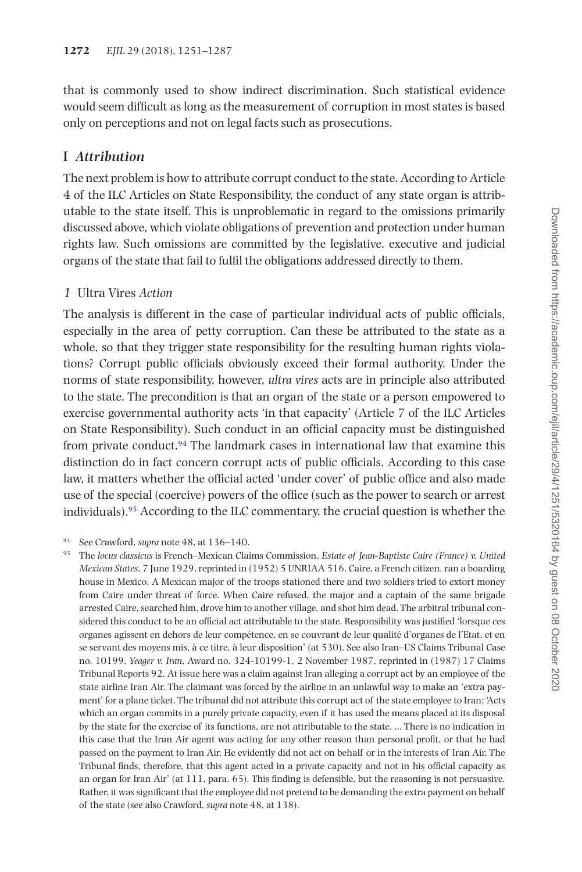that is commonly used to show indirect discrimination. Such statistical evidence would seem difficult as long as the measurement of corruption in most states is based only on perceptions and not on legal facts such as prosecutions.

### **I** *Attribution*

The next problem is how to attribute corrupt conduct to the state. According to Article 4 of the ILC Articles on State Responsibility, the conduct of any state organ is attributable to the state itself. This is unproblematic in regard to the omissions primarily discussed above, which violate obligations of prevention and protection under human rights law. Such omissions are committed by the legislative, executive and judicial organs of the state that fail to fulfil the obligations addressed directly to them.

#### *1* Ultra Vires *Action*

The analysis is different in the case of particular individual acts of public officials, especially in the area of petty corruption. Can these be attributed to the state as a whole, so that they trigger state responsibility for the resulting human rights violations? Corrupt public officials obviously exceed their formal authority. Under the norms of state responsibility, however, *ultra vires* acts are in principle also attributed to the state. The precondition is that an organ of the state or a person empowered to exercise governmental authority acts 'in that capacity' (Article 7 of the ILC Articles on State Responsibility). Such conduct in an official capacity must be distinguished from private conduct. $94$  The landmark cases in international law that examine this distinction do in fact concern corrupt acts of public officials. According to this case law, it matters whether the official acted 'under cover' of public office and also made use of the special (coercive) powers of the office (such as the power to search or arrest individuals).<sup>[95](#page-21-1)</sup> According to the ILC commentary, the crucial question is whether the

<span id="page-21-0"></span><sup>94</sup> See Crawford, *supra* note 48, at 136–140.

<span id="page-21-1"></span><sup>95</sup> The *locus classicus* is French–Mexican Claims Commission, *Estate of Jean-Baptiste Caire (France) v. United Mexican States*, 7 June 1929, reprinted in (1952) 5 UNRIAA 516. Caire, a French citizen, ran a boarding house in Mexico. A Mexican major of the troops stationed there and two soldiers tried to extort money from Caire under threat of force. When Caire refused, the major and a captain of the same brigade arrested Caire, searched him, drove him to another village, and shot him dead. The arbitral tribunal considered this conduct to be an official act attributable to the state. Responsibility was justified 'lorsque ces organes agissent en dehors de leur compétence, en se couvrant de leur qualité d'organes de l'Etat, et en se servant des moyens mis, à ce titre, à leur disposition' (at 530). See also Iran–US Claims Tribunal Case no. 10199, *Yeager v. Iran*, Award no. 324-10199-1, 2 November 1987, reprinted in (1987) 17 Claims Tribunal Reports 92. At issue here was a claim against Iran alleging a corrupt act by an employee of the state airline Iran Air. The claimant was forced by the airline in an unlawful way to make an 'extra payment' for a plane ticket. The tribunal did not attribute this corrupt act of the state employee to Iran: 'Acts which an organ commits in a purely private capacity, even if it has used the means placed at its disposal by the state for the exercise of its functions, are not attributable to the state. … There is no indication in this case that the Iran Air agent was acting for any other reason than personal profit, or that he had passed on the payment to Iran Air. He evidently did not act on behalf or in the interests of Iran Air. The Tribunal finds, therefore, that this agent acted in a private capacity and not in his official capacity as an organ for Iran Air' (at 111, para. 65). This finding is defensible, but the reasoning is not persuasive. Rather, it was significant that the employee did not pretend to be demanding the extra payment on behalf of the state (see also Crawford, *supra* note 48, at 138).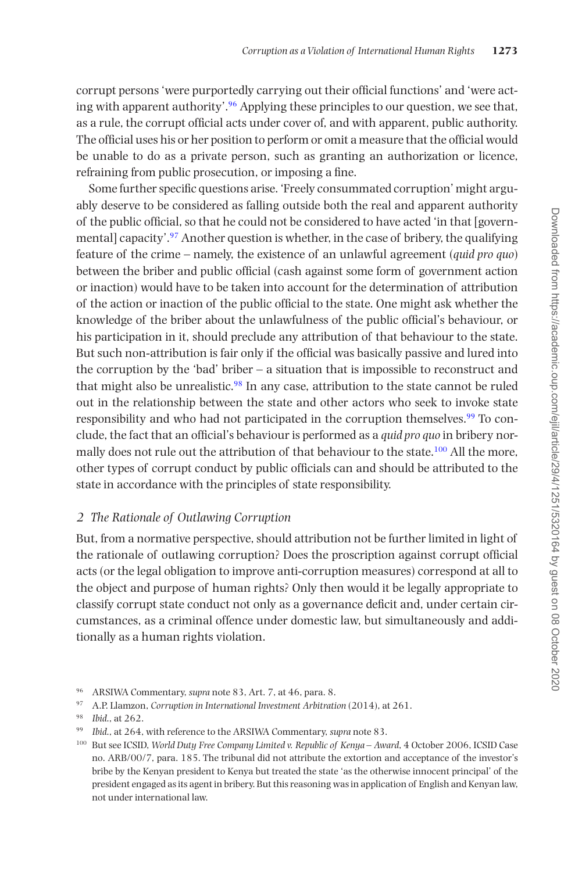corrupt persons 'were purportedly carrying out their official functions' and 'were acting with apparent authority'.[96](#page-22-0) Applying these principles to our question, we see that, as a rule, the corrupt official acts under cover of, and with apparent, public authority. The official uses his or her position to perform or omit a measure that the official would be unable to do as a private person, such as granting an authorization or licence, refraining from public prosecution, or imposing a fine.

Some further specific questions arise. 'Freely consummated corruption' might arguably deserve to be considered as falling outside both the real and apparent authority of the public official, so that he could not be considered to have acted 'in that [governmental] capacity'[.97](#page-22-1) Another question is whether, in the case of bribery, the qualifying feature of the crime – namely, the existence of an unlawful agreement (*quid pro quo*) between the briber and public official (cash against some form of government action or inaction) would have to be taken into account for the determination of attribution of the action or inaction of the public official to the state. One might ask whether the knowledge of the briber about the unlawfulness of the public official's behaviour, or his participation in it, should preclude any attribution of that behaviour to the state. But such non-attribution is fair only if the official was basically passive and lured into the corruption by the 'bad' briber – a situation that is impossible to reconstruct and that might also be unrealistic.[98](#page-22-2) In any case, attribution to the state cannot be ruled out in the relationship between the state and other actors who seek to invoke state responsibility and who had not participated in the corruption themselves.[99](#page-22-3) To conclude, the fact that an official's behaviour is performed as a *quid pro quo* in bribery normally does not rule out the attribution of that behaviour to the state.<sup>100</sup> All the more, other types of corrupt conduct by public officials can and should be attributed to the state in accordance with the principles of state responsibility.

#### *2 The Rationale of Outlawing Corruption*

But, from a normative perspective, should attribution not be further limited in light of the rationale of outlawing corruption? Does the proscription against corrupt official acts (or the legal obligation to improve anti-corruption measures) correspond at all to the object and purpose of human rights? Only then would it be legally appropriate to classify corrupt state conduct not only as a governance deficit and, under certain circumstances, as a criminal offence under domestic law, but simultaneously and additionally as a human rights violation.

<span id="page-22-0"></span><sup>96</sup> ARSIWA Commentary, *supra* note 83, Art. 7, at 46, para. 8.

<span id="page-22-1"></span><sup>97</sup> A.P. Llamzon, *Corruption in International Investment Arbitration* (2014), at 261.

<span id="page-22-2"></span><sup>98</sup> *Ibid*., at 262.

<span id="page-22-3"></span><sup>99</sup> *Ibid*., at 264, with reference to the ARSIWA Commentary, *supra* note 83.

<span id="page-22-4"></span><sup>100</sup> But see ICSID, *World Duty Free Company Limited v. Republic of Kenya – Award*, 4 October 2006, ICSID Case no. ARB/00/7, para. 185. The tribunal did not attribute the extortion and acceptance of the investor's bribe by the Kenyan president to Kenya but treated the state 'as the otherwise innocent principal' of the president engaged as its agent in bribery. But this reasoning was in application of English and Kenyan law, not under international law.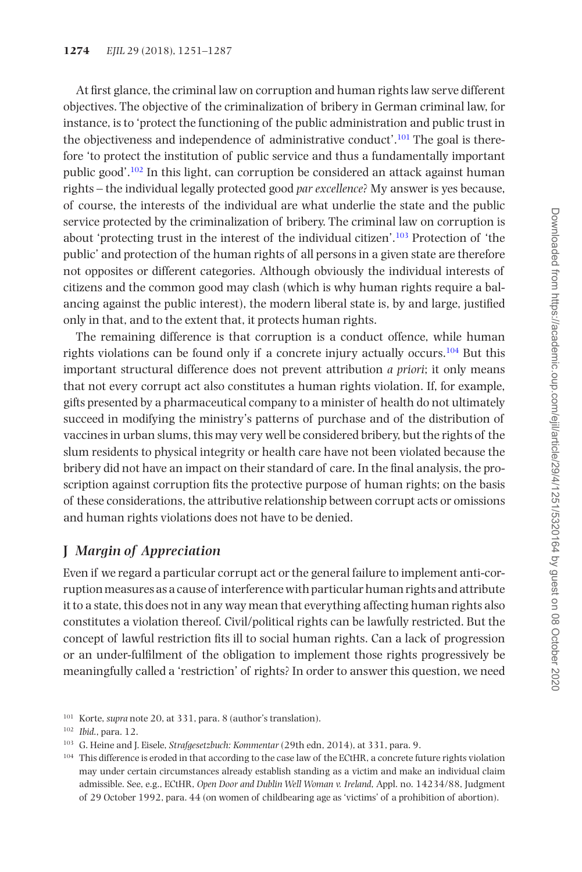At first glance, the criminal law on corruption and human rights law serve different objectives. The objective of the criminalization of bribery in German criminal law, for instance, is to 'protect the functioning of the public administration and public trust in the objectiveness and independence of administrative conduct'[.101](#page-23-0) The goal is therefore 'to protect the institution of public service and thus a fundamentally important public good'[.102](#page-23-1) In this light, can corruption be considered an attack against human rights – the individual legally protected good *par excellence*? My answer is yes because, of course, the interests of the individual are what underlie the state and the public service protected by the criminalization of bribery. The criminal law on corruption is about 'protecting trust in the interest of the individual citizen'.[103](#page-23-2) Protection of 'the public' and protection of the human rights of all persons in a given state are therefore not opposites or different categories. Although obviously the individual interests of citizens and the common good may clash (which is why human rights require a balancing against the public interest), the modern liberal state is, by and large, justified only in that, and to the extent that, it protects human rights.

The remaining difference is that corruption is a conduct offence, while human rights violations can be found only if a concrete injury actually occurs.<sup>104</sup> But this important structural difference does not prevent attribution *a priori*; it only means that not every corrupt act also constitutes a human rights violation. If, for example, gifts presented by a pharmaceutical company to a minister of health do not ultimately succeed in modifying the ministry's patterns of purchase and of the distribution of vaccines in urban slums, this may very well be considered bribery, but the rights of the slum residents to physical integrity or health care have not been violated because the bribery did not have an impact on their standard of care. In the final analysis, the proscription against corruption fits the protective purpose of human rights; on the basis of these considerations, the attributive relationship between corrupt acts or omissions and human rights violations does not have to be denied.

# **J** *Margin of Appreciation*

Even if we regard a particular corrupt act or the general failure to implement anti-corruption measures as a cause of interference with particular human rights and attribute it to a state, this does not in any way mean that everything affecting human rights also constitutes a violation thereof. Civil/political rights can be lawfully restricted. But the concept of lawful restriction fits ill to social human rights. Can a lack of progression or an under-fulfilment of the obligation to implement those rights progressively be meaningfully called a 'restriction' of rights? In order to answer this question, we need

<span id="page-23-0"></span><sup>101</sup> Korte, *supra* note 20, at 331, para. 8 (author's translation).

<span id="page-23-1"></span><sup>102</sup> *Ibid*., para. 12.

<span id="page-23-2"></span><sup>103</sup> G. Heine and J. Eisele, *Strafgesetzbuch: Kommentar* (29th edn, 2014), at 331, para. 9.

<span id="page-23-3"></span><sup>&</sup>lt;sup>104</sup> This difference is eroded in that according to the case law of the ECtHR, a concrete future rights violation may under certain circumstances already establish standing as a victim and make an individual claim admissible. See, e.g., ECtHR, *Open Door and Dublin Well Woman v. Ireland*, Appl. no. 14234/88, Judgment of 29 October 1992, para. 44 (on women of childbearing age as 'victims' of a prohibition of abortion).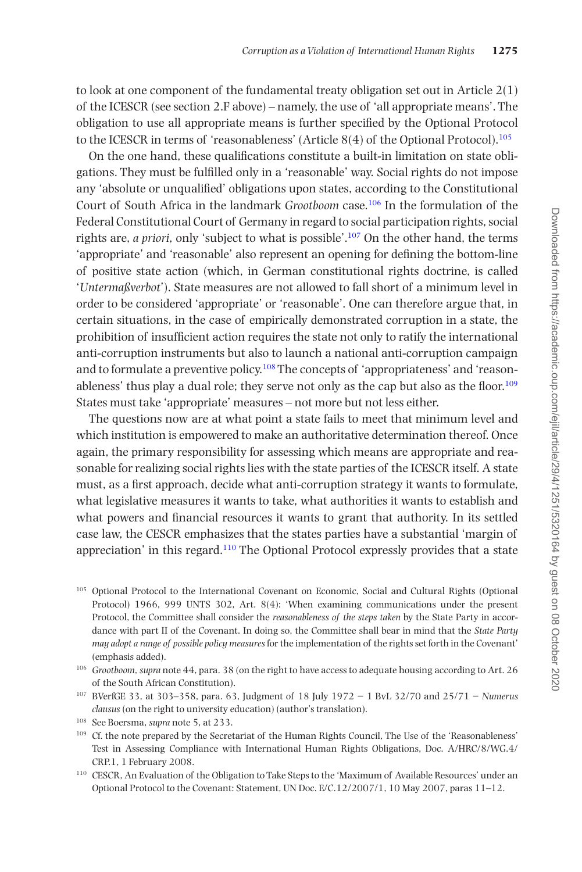to look at one component of the fundamental treaty obligation set out in Article  $2(1)$ of the ICESCR (see section 2.F above) – namely, the use of 'all appropriate means'. The obligation to use all appropriate means is further specified by the Optional Protocol to the ICESCR in terms of 'reasonableness' (Article  $8(4)$  of the Optional Protocol).<sup>105</sup>

On the one hand, these qualifications constitute a built-in limitation on state obligations. They must be fulfilled only in a 'reasonable' way. Social rights do not impose any 'absolute or unqualified' obligations upon states, according to the Constitutional Court of South Africa in the landmark *Grootboom* case.[106](#page-24-1) In the formulation of the Federal Constitutional Court of Germany in regard to social participation rights, social rights are, *a priori*, only 'subject to what is possible'[.107](#page-24-2) On the other hand, the terms 'appropriate' and 'reasonable' also represent an opening for defining the bottom-line of positive state action (which, in German constitutional rights doctrine, is called '*Untermaßverbot*'). State measures are not allowed to fall short of a minimum level in order to be considered 'appropriate' or 'reasonable'. One can therefore argue that, in certain situations, in the case of empirically demonstrated corruption in a state, the prohibition of insufficient action requires the state not only to ratify the international anti-corruption instruments but also to launch a national anti-corruption campaign and to formulate a preventive policy.<sup>108</sup> The concepts of 'appropriateness' and 'reasonableness' thus play a dual role; they serve not only as the cap but also as the floor[.109](#page-24-4) States must take 'appropriate' measures – not more but not less either.

The questions now are at what point a state fails to meet that minimum level and which institution is empowered to make an authoritative determination thereof. Once again, the primary responsibility for assessing which means are appropriate and reasonable for realizing social rights lies with the state parties of the ICESCR itself. A state must, as a first approach, decide what anti-corruption strategy it wants to formulate, what legislative measures it wants to take, what authorities it wants to establish and what powers and financial resources it wants to grant that authority. In its settled case law, the CESCR emphasizes that the states parties have a substantial 'margin of appreciation' in this regard.[110](#page-24-5) The Optional Protocol expressly provides that a state

- <span id="page-24-0"></span><sup>105</sup> Optional Protocol to the International Covenant on Economic, Social and Cultural Rights (Optional Protocol) 1966, 999 UNTS 302, Art. 8(4): 'When examining communications under the present Protocol, the Committee shall consider the *reasonableness of the steps taken* by the State Party in accordance with part II of the Covenant. In doing so, the Committee shall bear in mind that the *State Party may adopt a range of possible policy measures* for the implementation of the rights set forth in the Covenant' (emphasis added).
- <span id="page-24-1"></span><sup>106</sup> *Grootboom*, *supra* note 44, para. 38 (on the right to have access to adequate housing according to Art. 26 of the South African Constitution).
- <span id="page-24-2"></span><sup>107</sup> BVerfGE 33, at 303–358, para. 63, Judgment of 18 July 1972 − 1 BvL 32/70 and 25/71 − *Numerus clausus* (on the right to university education) (author's translation).
- <span id="page-24-3"></span><sup>108</sup> See Boersma, *supra* note 5, at 233.
- <span id="page-24-4"></span><sup>109</sup> Cf. the note prepared by the Secretariat of the Human Rights Council, The Use of the 'Reasonableness' Test in Assessing Compliance with International Human Rights Obligations, Doc. A/HRC/8/WG.4/ CRP.1, 1 February 2008.
- <span id="page-24-5"></span><sup>110</sup> CESCR, An Evaluation of the Obligation to Take Steps to the 'Maximum of Available Resources' under an Optional Protocol to the Covenant: Statement, UN Doc. E/C.12/2007/1, 10 May 2007, paras 11–12.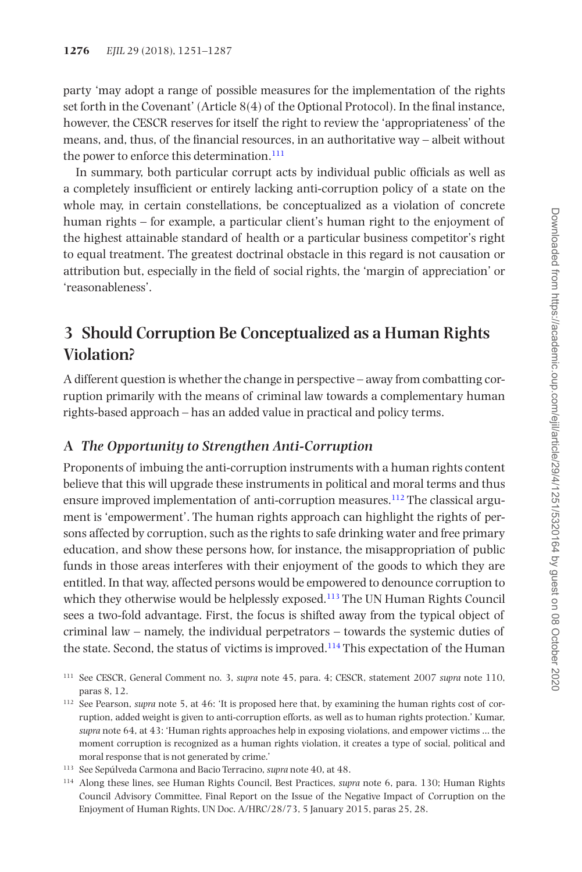party 'may adopt a range of possible measures for the implementation of the rights set forth in the Covenant' (Article 8(4) of the Optional Protocol). In the final instance, however, the CESCR reserves for itself the right to review the 'appropriateness' of the means, and, thus, of the financial resources, in an authoritative way – albeit without the power to enforce this determination. $111$ 

In summary, both particular corrupt acts by individual public officials as well as a completely insufficient or entirely lacking anti-corruption policy of a state on the whole may, in certain constellations, be conceptualized as a violation of concrete human rights – for example, a particular client's human right to the enjoyment of the highest attainable standard of health or a particular business competitor's right to equal treatment. The greatest doctrinal obstacle in this regard is not causation or attribution but, especially in the field of social rights, the 'margin of appreciation' or 'reasonableness'.

# **3 Should Corruption Be Conceptualized as a Human Rights Violation?**

A different question is whether the change in perspective – away from combatting corruption primarily with the means of criminal law towards a complementary human rights-based approach – has an added value in practical and policy terms.

## **A** *The Opportunity to Strengthen Anti-Corruption*

Proponents of imbuing the anti-corruption instruments with a human rights content believe that this will upgrade these instruments in political and moral terms and thus ensure improved implementation of anti-corruption measures.<sup>112</sup> The classical argument is 'empowerment'. The human rights approach can highlight the rights of persons affected by corruption, such as the rights to safe drinking water and free primary education, and show these persons how, for instance, the misappropriation of public funds in those areas interferes with their enjoyment of the goods to which they are entitled. In that way, affected persons would be empowered to denounce corruption to which they otherwise would be helplessly exposed.<sup>113</sup> The UN Human Rights Council sees a two-fold advantage. First, the focus is shifted away from the typical object of criminal law – namely, the individual perpetrators – towards the systemic duties of the state. Second, the status of victims is improved[.114](#page-25-3) This expectation of the Human

<span id="page-25-0"></span><sup>111</sup> See CESCR, General Comment no. 3, *supra* note 45, para. 4; CESCR, statement 2007 *supra* note 110, paras 8, 12.

<span id="page-25-1"></span><sup>112</sup> See Pearson, *supra* note 5, at 46: 'It is proposed here that, by examining the human rights cost of corruption, added weight is given to anti-corruption efforts, as well as to human rights protection.' Kumar, *supra* note 64, at 43: 'Human rights approaches help in exposing violations, and empower victims … the moment corruption is recognized as a human rights violation, it creates a type of social, political and moral response that is not generated by crime.'

<span id="page-25-2"></span><sup>113</sup> See Sepúlveda Carmona and Bacio Terracino, *supra* note 40, at 48.

<span id="page-25-3"></span><sup>114</sup> Along these lines, see Human Rights Council, Best Practices, *supra* note 6, para. 130; Human Rights Council Advisory Committee, Final Report on the Issue of the Negative Impact of Corruption on the Enjoyment of Human Rights, UN Doc. A/HRC/28/73, 5 January 2015, paras 25, 28.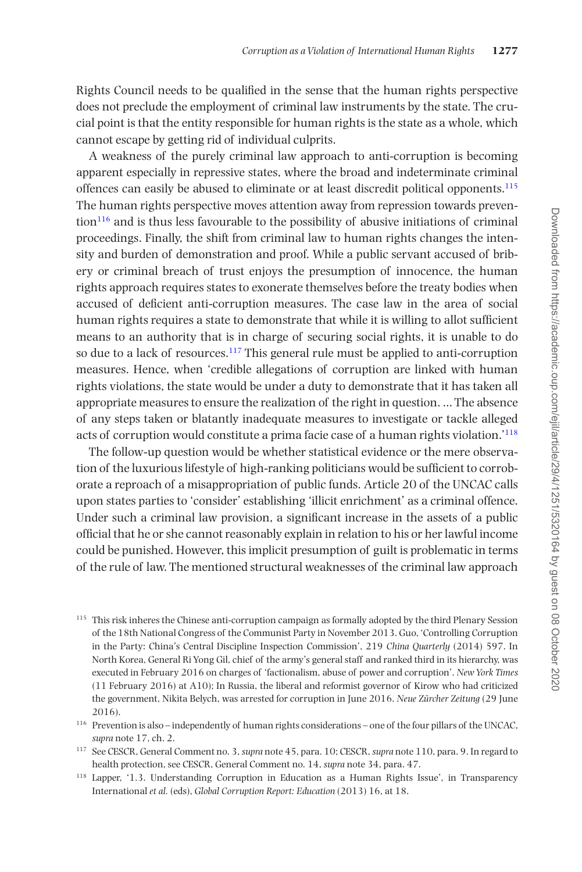Rights Council needs to be qualified in the sense that the human rights perspective does not preclude the employment of criminal law instruments by the state. The crucial point is that the entity responsible for human rights is the state as a whole, which cannot escape by getting rid of individual culprits.

A weakness of the purely criminal law approach to anti-corruption is becoming apparent especially in repressive states, where the broad and indeterminate criminal offences can easily be abused to eliminate or at least discredit political opponents[.115](#page-26-0) The human rights perspective moves attention away from repression towards preven- $\frac{116}{10}$  and is thus less favourable to the possibility of abusive initiations of criminal proceedings. Finally, the shift from criminal law to human rights changes the intensity and burden of demonstration and proof. While a public servant accused of bribery or criminal breach of trust enjoys the presumption of innocence, the human rights approach requires states to exonerate themselves before the treaty bodies when accused of deficient anti-corruption measures. The case law in the area of social human rights requires a state to demonstrate that while it is willing to allot sufficient means to an authority that is in charge of securing social rights, it is unable to do so due to a lack of resources.<sup>117</sup> This general rule must be applied to anti-corruption measures. Hence, when 'credible allegations of corruption are linked with human rights violations, the state would be under a duty to demonstrate that it has taken all appropriate measures to ensure the realization of the right in question. … The absence of any steps taken or blatantly inadequate measures to investigate or tackle alleged acts of corruption would constitute a prima facie case of a human rights violation.'[118](#page-26-3)

The follow-up question would be whether statistical evidence or the mere observation of the luxurious lifestyle of high-ranking politicians would be sufficient to corroborate a reproach of a misappropriation of public funds. Article 20 of the UNCAC calls upon states parties to 'consider' establishing 'illicit enrichment' as a criminal offence. Under such a criminal law provision, a significant increase in the assets of a public official that he or she cannot reasonably explain in relation to his or her lawful income could be punished. However, this implicit presumption of guilt is problematic in terms of the rule of law. The mentioned structural weaknesses of the criminal law approach

<span id="page-26-0"></span><sup>&</sup>lt;sup>115</sup> This risk inheres the Chinese anti-corruption campaign as formally adopted by the third Plenary Session of the 18th National Congress of the Communist Party in November 2013. Guo, 'Controlling Corruption in the Party: China's Central Discipline Inspection Commission', 219 *China Quarterly* (2014) 597. In North Korea, General Ri Yong Gil, chief of the army's general staff and ranked third in its hierarchy, was executed in February 2016 on charges of 'factionalism, abuse of power and corruption'. *New York Times* (11 February 2016) at A10); In Russia, the liberal and reformist governor of Kirow who had criticized the government, Nikita Belych, was arrested for corruption in June 2016. *Neue Zürcher Zeitung* (29 June 2016).

<span id="page-26-1"></span><sup>116</sup> Prevention is also – independently of human rights considerations – one of the four pillars of the UNCAC, *supra* note 17, ch. 2.

<span id="page-26-2"></span><sup>117</sup> See CESCR, General Comment no. 3, *supra* note 45, para. 10; CESCR, *supra* note 110, para. 9. In regard to health protection, see CESCR, General Comment no. 14, *supra* note 34, para. 47.

<span id="page-26-3"></span><sup>118</sup> Lapper, '1.3. Understanding Corruption in Education as a Human Rights Issue', in Transparency International *et al.* (eds), *Global Corruption Report: Education* (2013) 16, at 18.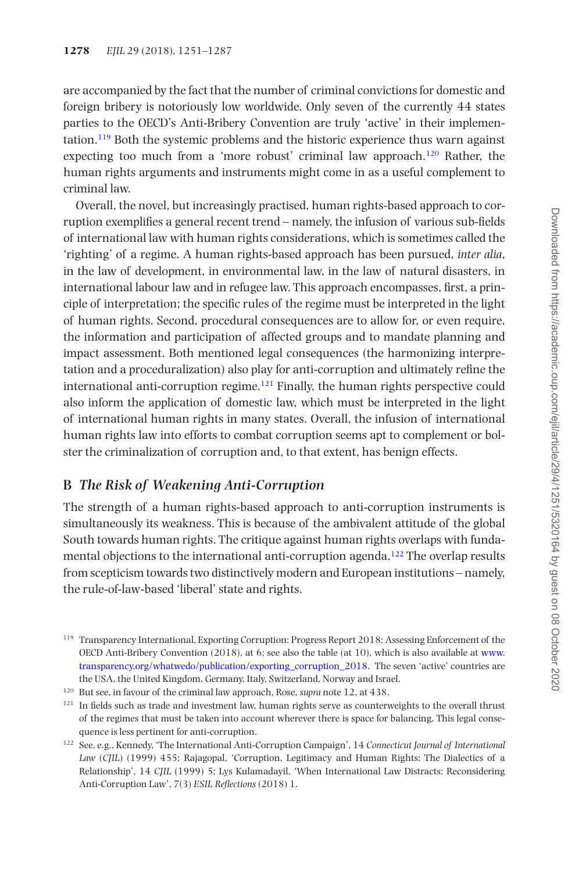are accompanied by the fact that the number of criminal convictions for domestic and foreign bribery is notoriously low worldwide. Only seven of the currently 44 states parties to the OECD's Anti-Bribery Convention are truly 'active' in their implementation[.119](#page-27-0) Both the systemic problems and the historic experience thus warn against expecting too much from a 'more robust' criminal law approach.[120](#page-27-1) Rather, the human rights arguments and instruments might come in as a useful complement to criminal law.

Overall, the novel, but increasingly practised, human rights-based approach to corruption exemplifies a general recent trend – namely, the infusion of various sub-fields of international law with human rights considerations, which is sometimes called the 'righting' of a regime. A human rights-based approach has been pursued, *inter alia*, in the law of development, in environmental law, in the law of natural disasters, in international labour law and in refugee law. This approach encompasses, first, a principle of interpretation; the specific rules of the regime must be interpreted in the light of human rights. Second, procedural consequences are to allow for, or even require, the information and participation of affected groups and to mandate planning and impact assessment. Both mentioned legal consequences (the harmonizing interpretation and a proceduralization) also play for anti-corruption and ultimately refine the international anti-corruption regime. $121$  Finally, the human rights perspective could also inform the application of domestic law, which must be interpreted in the light of international human rights in many states. Overall, the infusion of international human rights law into efforts to combat corruption seems apt to complement or bolster the criminalization of corruption and, to that extent, has benign effects.

## **B** *The Risk of Weakening Anti-Corruption*

The strength of a human rights-based approach to anti-corruption instruments is simultaneously its weakness. This is because of the ambivalent attitude of the global South towards human rights. The critique against human rights overlaps with fundamental objections to the international anti-corruption agenda.<sup>122</sup> The overlap results from scepticism towards two distinctively modern and European institutions – namely, the rule-of-law-based 'liberal' state and rights.

<span id="page-27-0"></span><sup>119</sup> Transparency International, Exporting Corruption: Progress Report 2018: Assessing Enforcement of the OECD Anti-Bribery Convention (2018), at 6; see also the table (at 10), which is also available at [www.](http://www.transparency.org/whatwedo/publication/exporting_corruption_2018) [transparency.org/whatwedo/publication/exporting\\_corruption\\_2018.](http://www.transparency.org/whatwedo/publication/exporting_corruption_2018) The seven 'active' countries are the USA, the United Kingdom, Germany, Italy, Switzerland, Norway and Israel.

<span id="page-27-1"></span><sup>120</sup> But see, in favour of the criminal law approach, Rose, *supra* note 12, at 438.

<span id="page-27-2"></span><sup>&</sup>lt;sup>121</sup> In fields such as trade and investment law, human rights serve as counterweights to the overall thrust of the regimes that must be taken into account wherever there is space for balancing. This legal consequence is less pertinent for anti-corruption.

<span id="page-27-3"></span><sup>122</sup> See, e.g., Kennedy, 'The International Anti-Corruption Campaign', 14 *Connecticut Journal of International Law* (*CJIL*) (1999) 455; Rajagopal, 'Corruption, Legitimacy and Human Rights: The Dialectics of a Relationship', 14 *CJIL* (1999) 5; Lys Kulamadayil, 'When International Law Distracts: Reconsidering Anti-Corruption Law', 7(3) *ESIL Reflections* (2018) 1.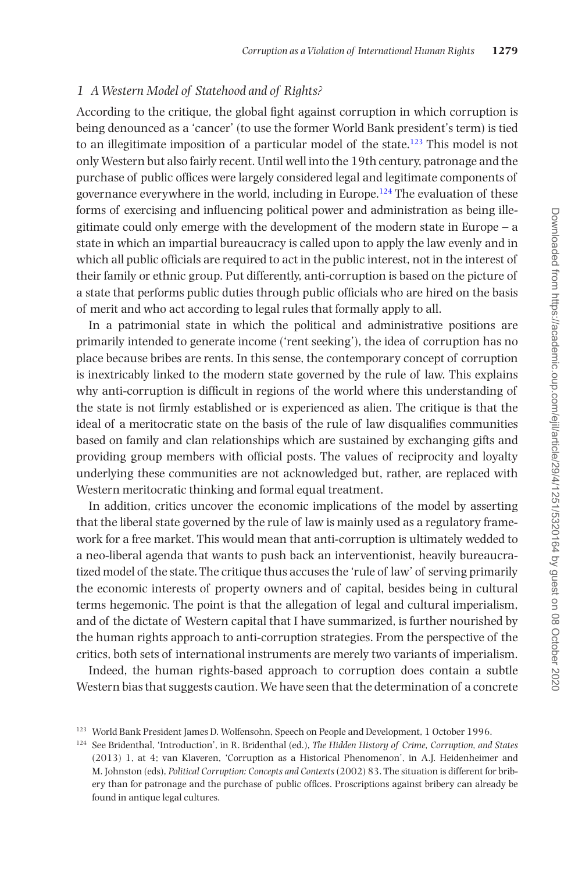#### *1 A Western Model of Statehood and of Rights?*

According to the critique, the global fight against corruption in which corruption is being denounced as a 'cancer' (to use the former World Bank president's term) is tied to an illegitimate imposition of a particular model of the state.<sup>123</sup> This model is not only Western but also fairly recent. Until well into the 19th century, patronage and the purchase of public offices were largely considered legal and legitimate components of governance everywhere in the world, including in Europe[.124](#page-28-1) The evaluation of these forms of exercising and influencing political power and administration as being illegitimate could only emerge with the development of the modern state in Europe – a state in which an impartial bureaucracy is called upon to apply the law evenly and in which all public officials are required to act in the public interest, not in the interest of their family or ethnic group. Put differently, anti-corruption is based on the picture of a state that performs public duties through public officials who are hired on the basis of merit and who act according to legal rules that formally apply to all.

In a patrimonial state in which the political and administrative positions are primarily intended to generate income ('rent seeking'), the idea of corruption has no place because bribes are rents. In this sense, the contemporary concept of corruption is inextricably linked to the modern state governed by the rule of law. This explains why anti-corruption is difficult in regions of the world where this understanding of the state is not firmly established or is experienced as alien. The critique is that the ideal of a meritocratic state on the basis of the rule of law disqualifies communities based on family and clan relationships which are sustained by exchanging gifts and providing group members with official posts. The values of reciprocity and loyalty underlying these communities are not acknowledged but, rather, are replaced with Western meritocratic thinking and formal equal treatment.

In addition, critics uncover the economic implications of the model by asserting that the liberal state governed by the rule of law is mainly used as a regulatory framework for a free market. This would mean that anti-corruption is ultimately wedded to a neo-liberal agenda that wants to push back an interventionist, heavily bureaucratized model of the state. The critique thus accuses the 'rule of law' of serving primarily the economic interests of property owners and of capital, besides being in cultural terms hegemonic. The point is that the allegation of legal and cultural imperialism, and of the dictate of Western capital that I have summarized, is further nourished by the human rights approach to anti-corruption strategies. From the perspective of the critics, both sets of international instruments are merely two variants of imperialism.

Indeed, the human rights-based approach to corruption does contain a subtle Western bias that suggests caution. We have seen that the determination of a concrete

<span id="page-28-0"></span><sup>123</sup> World Bank President James D. Wolfensohn, Speech on People and Development, 1 October 1996.

<span id="page-28-1"></span><sup>124</sup> See Bridenthal, 'Introduction', in R. Bridenthal (ed.), *The Hidden History of Crime, Corruption, and States* (2013) 1, at 4; van Klaveren, 'Corruption as a Historical Phenomenon', in A.J. Heidenheimer and M. Johnston (eds), *Political Corruption: Concepts and Contexts* (2002) 83. The situation is different for bribery than for patronage and the purchase of public offices. Proscriptions against bribery can already be found in antique legal cultures.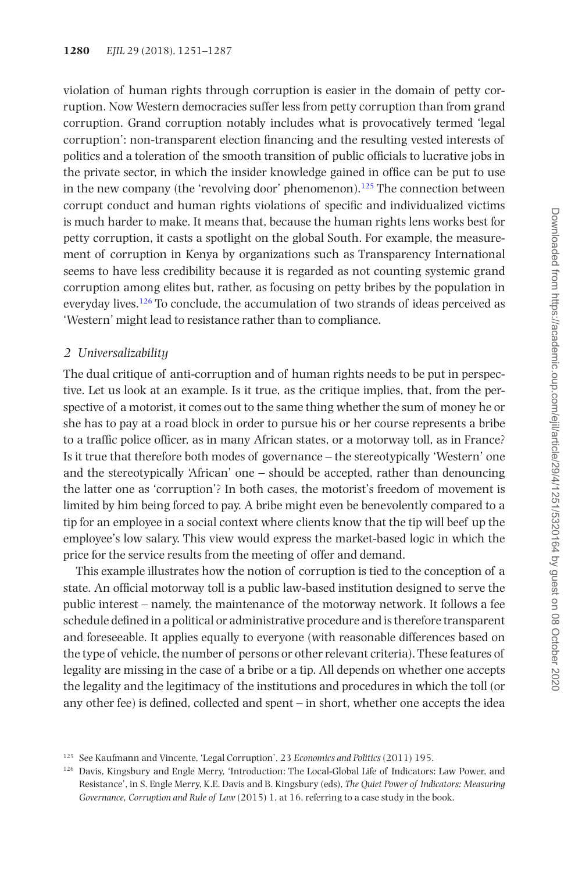violation of human rights through corruption is easier in the domain of petty corruption. Now Western democracies suffer less from petty corruption than from grand corruption. Grand corruption notably includes what is provocatively termed 'legal corruption': non-transparent election financing and the resulting vested interests of politics and a toleration of the smooth transition of public officials to lucrative jobs in the private sector, in which the insider knowledge gained in office can be put to use in the new company (the 'revolving door' phenomenon).<sup>[125](#page-29-0)</sup> The connection between corrupt conduct and human rights violations of specific and individualized victims is much harder to make. It means that, because the human rights lens works best for petty corruption, it casts a spotlight on the global South. For example, the measurement of corruption in Kenya by organizations such as Transparency International seems to have less credibility because it is regarded as not counting systemic grand corruption among elites but, rather, as focusing on petty bribes by the population in everyday lives.[126](#page-29-1) To conclude, the accumulation of two strands of ideas perceived as 'Western' might lead to resistance rather than to compliance.

#### *2 Universalizability*

The dual critique of anti-corruption and of human rights needs to be put in perspective. Let us look at an example. Is it true, as the critique implies, that, from the perspective of a motorist, it comes out to the same thing whether the sum of money he or she has to pay at a road block in order to pursue his or her course represents a bribe to a traffic police officer, as in many African states, or a motorway toll, as in France? Is it true that therefore both modes of governance – the stereotypically 'Western' one and the stereotypically 'African' one – should be accepted, rather than denouncing the latter one as 'corruption'? In both cases, the motorist's freedom of movement is limited by him being forced to pay. A bribe might even be benevolently compared to a tip for an employee in a social context where clients know that the tip will beef up the employee's low salary. This view would express the market-based logic in which the price for the service results from the meeting of offer and demand.

This example illustrates how the notion of corruption is tied to the conception of a state. An official motorway toll is a public law-based institution designed to serve the public interest – namely, the maintenance of the motorway network. It follows a fee schedule defined in a political or administrative procedure and is therefore transparent and foreseeable. It applies equally to everyone (with reasonable differences based on the type of vehicle, the number of persons or other relevant criteria). These features of legality are missing in the case of a bribe or a tip. All depends on whether one accepts the legality and the legitimacy of the institutions and procedures in which the toll (or any other fee) is defined, collected and spent – in short, whether one accepts the idea

<span id="page-29-0"></span><sup>125</sup> See Kaufmann and Vincente, 'Legal Corruption', 23 *Economics and Politics* (2011) 195.

<span id="page-29-1"></span><sup>126</sup> Davis, Kingsbury and Engle Merry, 'Introduction: The Local-Global Life of Indicators: Law Power, and Resistance', in S. Engle Merry, K.E. Davis and B. Kingsbury (eds), *The Quiet Power of Indicators: Measuring Governance, Corruption and Rule of Law* (2015) 1, at 16, referring to a case study in the book.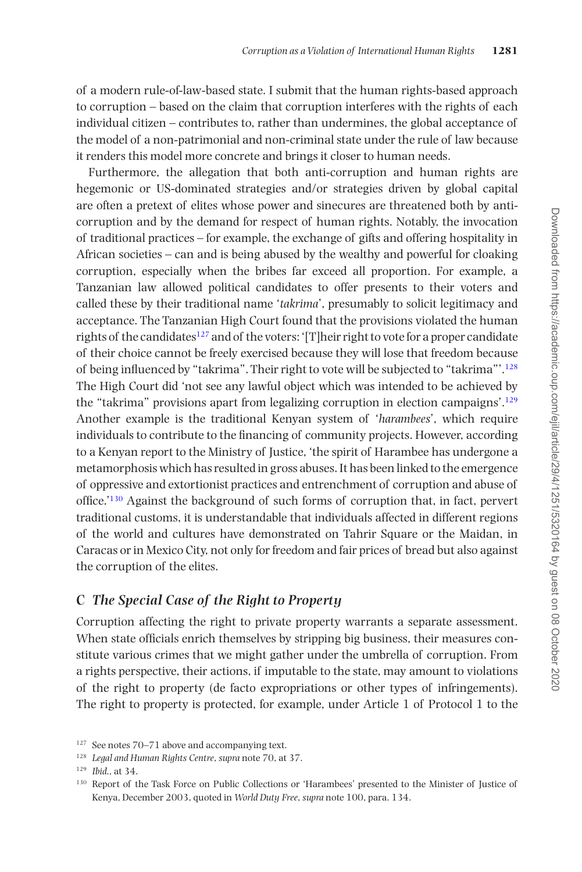of a modern rule-of-law-based state. I submit that the human rights-based approach to corruption – based on the claim that corruption interferes with the rights of each individual citizen – contributes to, rather than undermines, the global acceptance of the model of a non-patrimonial and non-criminal state under the rule of law because it renders this model more concrete and brings it closer to human needs.

Furthermore, the allegation that both anti-corruption and human rights are hegemonic or US-dominated strategies and/or strategies driven by global capital are often a pretext of elites whose power and sinecures are threatened both by anticorruption and by the demand for respect of human rights. Notably, the invocation of traditional practices – for example, the exchange of gifts and offering hospitality in African societies – can and is being abused by the wealthy and powerful for cloaking corruption, especially when the bribes far exceed all proportion. For example, a Tanzanian law allowed political candidates to offer presents to their voters and called these by their traditional name '*takrima*', presumably to solicit legitimacy and acceptance. The Tanzanian High Court found that the provisions violated the human rights of the candidates<sup>127</sup> and of the voters: '[T]heir right to vote for a proper candidate of their choice cannot be freely exercised because they will lose that freedom because of being influenced by "takrima". Their right to vote will be subjected to "takrima"'[.128](#page-30-1) The High Court did 'not see any lawful object which was intended to be achieved by the "takrima" provisions apart from legalizing corruption in election campaigns'[.129](#page-30-2) Another example is the traditional Kenyan system of '*harambees*', which require individuals to contribute to the financing of community projects. However, according to a Kenyan report to the Ministry of Justice, 'the spirit of Harambee has undergone a metamorphosis which has resulted in gross abuses. It has been linked to the emergence of oppressive and extortionist practices and entrenchment of corruption and abuse of office.['130](#page-30-3) Against the background of such forms of corruption that, in fact, pervert traditional customs, it is understandable that individuals affected in different regions of the world and cultures have demonstrated on Tahrir Square or the Maidan, in Caracas or in Mexico City, not only for freedom and fair prices of bread but also against the corruption of the elites.

## **C** *The Special Case of the Right to Property*

Corruption affecting the right to private property warrants a separate assessment. When state officials enrich themselves by stripping big business, their measures constitute various crimes that we might gather under the umbrella of corruption. From a rights perspective, their actions, if imputable to the state, may amount to violations of the right to property (de facto expropriations or other types of infringements). The right to property is protected, for example, under Article 1 of Protocol 1 to the

<span id="page-30-0"></span><sup>127</sup> See notes 70–71 above and accompanying text.

<span id="page-30-1"></span><sup>128</sup> *Legal and Human Rights Centre*, *supra* note 70, at 37.

<span id="page-30-2"></span><sup>129</sup> *Ibid*., at 34.

<span id="page-30-3"></span><sup>130</sup> Report of the Task Force on Public Collections or 'Harambees' presented to the Minister of Justice of Kenya, December 2003, quoted in *World Duty Free*, *supra* note 100, para. 134.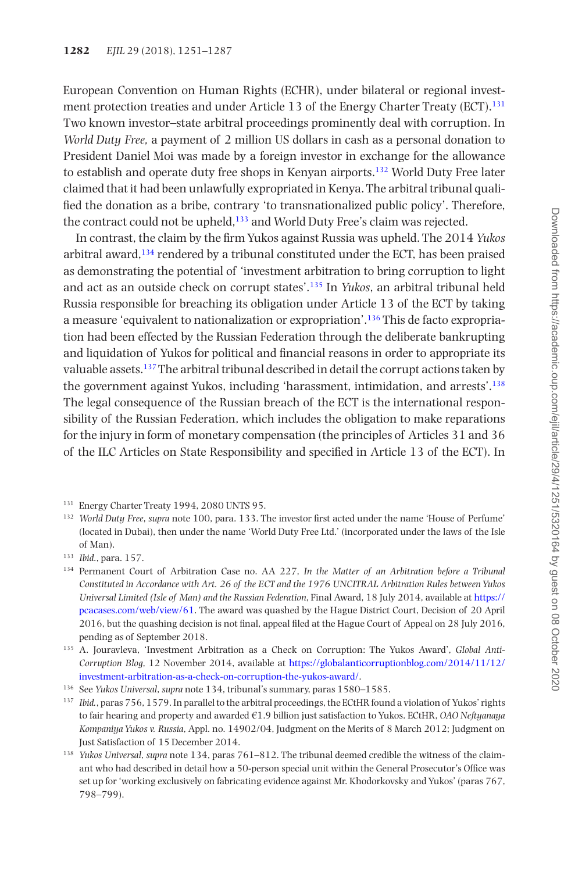European Convention on Human Rights (ECHR), under bilateral or regional investment protection treaties and under Article 13 of the Energy Charter Treaty (ECT)[.131](#page-31-0) Two known investor–state arbitral proceedings prominently deal with corruption. In *World Duty Free,* a payment of 2 million US dollars in cash as a personal donation to President Daniel Moi was made by a foreign investor in exchange for the allowance to establish and operate duty free shops in Kenyan airports[.132](#page-31-1) World Duty Free later claimed that it had been unlawfully expropriated in Kenya. The arbitral tribunal qualified the donation as a bribe, contrary 'to transnationalized public policy'. Therefore, the contract could not be upheld,<sup>133</sup> and World Duty Free's claim was rejected.

In contrast, the claim by the firm Yukos against Russia was upheld. The 2014 *Yukos* arbitral award,[134](#page-31-3) rendered by a tribunal constituted under the ECT, has been praised as demonstrating the potential of 'investment arbitration to bring corruption to light and act as an outside check on corrupt states'.[135](#page-31-4) In *Yukos*, an arbitral tribunal held Russia responsible for breaching its obligation under Article 13 of the ECT by taking a measure 'equivalent to nationalization or expropriation'[.136](#page-31-5) This de facto expropriation had been effected by the Russian Federation through the deliberate bankrupting and liquidation of Yukos for political and financial reasons in order to appropriate its valuable assets[.137](#page-31-6) The arbitral tribunal described in detail the corrupt actions taken by the government against Yukos, including 'harassment, intimidation, and arrests'[.138](#page-31-7) The legal consequence of the Russian breach of the ECT is the international responsibility of the Russian Federation, which includes the obligation to make reparations for the injury in form of monetary compensation (the principles of Articles 31 and 36 of the ILC Articles on State Responsibility and specified in Article 13 of the ECT). In

- <span id="page-31-6"></span><sup>137</sup> *Ibid.*, paras 756, 1579. In parallel to the arbitral proceedings, the ECtHR found a violation of Yukos' rights to fair hearing and property and awarded €1.9 billion just satisfaction to Yukos. ECtHR, *OAO Neftyanaya Kompaniya Yukos v. Russia*, Appl. no. 14902/04, Judgment on the Merits of 8 March 2012; Judgment on Just Satisfaction of 15 December 2014.
- <span id="page-31-7"></span><sup>138</sup> *Yukos Universal*, *supra* note 134, paras 761–812. The tribunal deemed credible the witness of the claimant who had described in detail how a 50-person special unit within the General Prosecutor's Office was set up for 'working exclusively on fabricating evidence against Mr. Khodorkovsky and Yukos' (paras 767, 798–799).

<span id="page-31-0"></span><sup>131</sup> Energy Charter Treaty 1994, 2080 UNTS 95.

<span id="page-31-1"></span><sup>132</sup> *World Duty Free*, *supra* note 100, para. 133. The investor first acted under the name 'House of Perfume' (located in Dubai), then under the name 'World Duty Free Ltd.' (incorporated under the laws of the Isle of Man).

<span id="page-31-2"></span><sup>133</sup> *Ibid*., para. 157.

<span id="page-31-3"></span><sup>134</sup> Permanent Court of Arbitration Case no. AA 227, *In the Matter of an Arbitration before a Tribunal Constituted in Accordance with Art. 26 of the ECT and the 1976 UNCITRAL Arbitration Rules between Yukos Universal Limited (Isle of Man) and the Russian Federation*, Final Award, 18 July 2014, available at [https://](https://pcacases.com/web/view/61) [pcacases.com/web/view/61.](https://pcacases.com/web/view/61) The award was quashed by the Hague District Court, Decision of 20 April 2016, but the quashing decision is not final, appeal filed at the Hague Court of Appeal on 28 July 2016, pending as of September 2018.

<span id="page-31-4"></span><sup>135</sup> A. Jouravleva, 'Investment Arbitration as a Check on Corruption: The Yukos Award', *Global Anti-Corruption Blog*, 12 November 2014, available at [https://globalanticorruptionblog.com/2014/11/12/](https://globalanticorruptionblog.com/2014/11/12/investment-arbitration-as-a-check-on-corruption-the-yukos-award/) [investment-arbitration-as-a-check-on-corruption-the-yukos-award/](https://globalanticorruptionblog.com/2014/11/12/investment-arbitration-as-a-check-on-corruption-the-yukos-award/).

<span id="page-31-5"></span><sup>136</sup> See *Yukos Universal*, *supra* note 134, tribunal's summary, paras 1580–1585.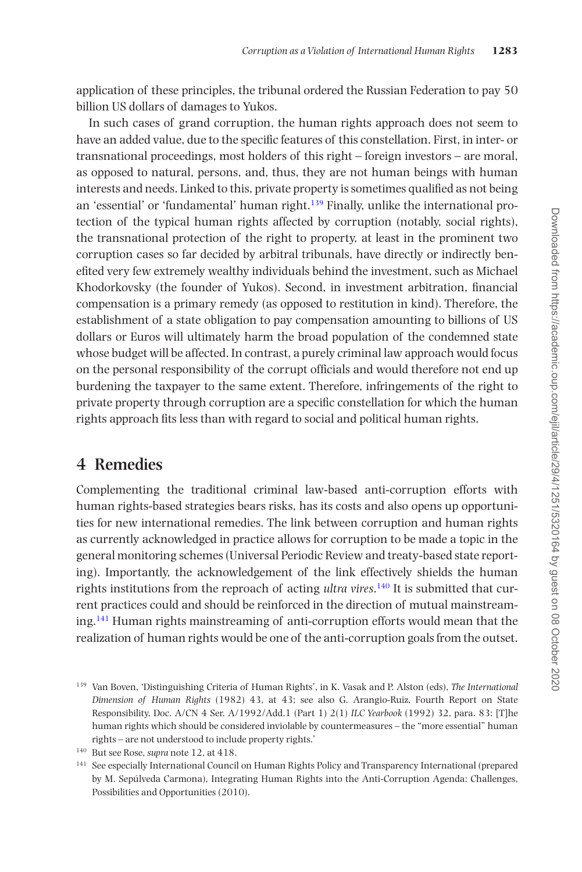application of these principles, the tribunal ordered the Russian Federation to pay 50 billion US dollars of damages to Yukos.

In such cases of grand corruption, the human rights approach does not seem to have an added value, due to the specific features of this constellation. First, in inter- or transnational proceedings, most holders of this right – foreign investors – are moral, as opposed to natural, persons, and, thus, they are not human beings with human interests and needs. Linked to this, private property is sometimes qualified as not being an 'essential' or 'fundamental' human right. $139$  Finally, unlike the international protection of the typical human rights affected by corruption (notably, social rights), the transnational protection of the right to property, at least in the prominent two corruption cases so far decided by arbitral tribunals, have directly or indirectly benefited very few extremely wealthy individuals behind the investment, such as Michael Khodorkovsky (the founder of Yukos). Second, in investment arbitration, financial compensation is a primary remedy (as opposed to restitution in kind). Therefore, the establishment of a state obligation to pay compensation amounting to billions of US dollars or Euros will ultimately harm the broad population of the condemned state whose budget will be affected. In contrast, a purely criminal law approach would focus on the personal responsibility of the corrupt officials and would therefore not end up burdening the taxpayer to the same extent. Therefore, infringements of the right to private property through corruption are a specific constellation for which the human rights approach fits less than with regard to social and political human rights.

# **4 Remedies**

Complementing the traditional criminal law-based anti-corruption efforts with human rights-based strategies bears risks, has its costs and also opens up opportunities for new international remedies. The link between corruption and human rights as currently acknowledged in practice allows for corruption to be made a topic in the general monitoring schemes (Universal Periodic Review and treaty-based state reporting). Importantly, the acknowledgement of the link effectively shields the human rights institutions from the reproach of acting *ultra vires*. [140](#page-32-1) It is submitted that current practices could and should be reinforced in the direction of mutual mainstreaming[.141](#page-32-2) Human rights mainstreaming of anti-corruption efforts would mean that the realization of human rights would be one of the anti-corruption goals from the outset.

<span id="page-32-0"></span><sup>139</sup> Van Boven, 'Distinguishing Criteria of Human Rights', in K. Vasak and P. Alston (eds), *The International Dimension of Human Rights* (1982) 43, at 43; see also G. Arangio-Ruiz, Fourth Report on State Responsibility, Doc. A/CN 4 Ser. A/1992/Add.1 (Part 1) 2(1) *ILC Yearbook* (1992) 32, para. 83: [T]he human rights which should be considered inviolable by countermeasures – the "more essential" human rights – are not understood to include property rights.'

<span id="page-32-1"></span><sup>140</sup> But see Rose, *supra* note 12, at 418.

<span id="page-32-2"></span><sup>141</sup> See especially International Council on Human Rights Policy and Transparency International (prepared by M. Sepúlveda Carmona), Integrating Human Rights into the Anti-Corruption Agenda: Challenges, Possibilities and Opportunities (2010).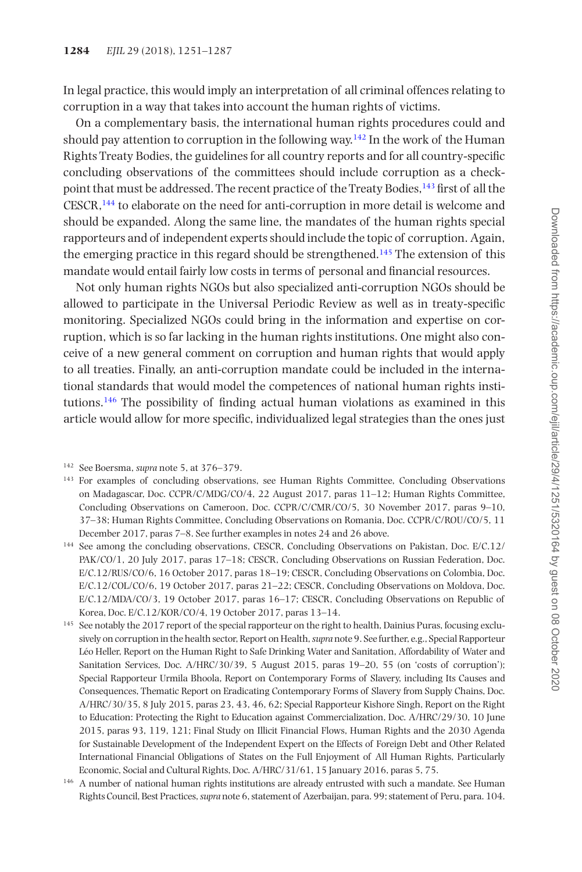In legal practice, this would imply an interpretation of all criminal offences relating to corruption in a way that takes into account the human rights of victims.

On a complementary basis, the international human rights procedures could and should pay attention to corruption in the following way.<sup>142</sup> In the work of the Human Rights Treaty Bodies, the guidelines for all country reports and for all country-specific concluding observations of the committees should include corruption as a checkpoint that must be addressed. The recent practice of the Treaty Bodies,<sup>143</sup> first of all the CESCR,[144](#page-33-2) to elaborate on the need for anti-corruption in more detail is welcome and should be expanded. Along the same line, the mandates of the human rights special rapporteurs and of independent experts should include the topic of corruption. Again, the emerging practice in this regard should be strengthened[.145](#page-33-3) The extension of this mandate would entail fairly low costs in terms of personal and financial resources.

Not only human rights NGOs but also specialized anti-corruption NGOs should be allowed to participate in the Universal Periodic Review as well as in treaty-specific monitoring. Specialized NGOs could bring in the information and expertise on corruption, which is so far lacking in the human rights institutions. One might also conceive of a new general comment on corruption and human rights that would apply to all treaties. Finally, an anti-corruption mandate could be included in the international standards that would model the competences of national human rights institutions.<sup>146</sup> The possibility of finding actual human violations as examined in this article would allow for more specific, individualized legal strategies than the ones just

- <span id="page-33-1"></span><sup>143</sup> For examples of concluding observations, see Human Rights Committee, Concluding Observations on Madagascar, Doc. CCPR/C/MDG/CO/4, 22 August 2017, paras 11–12; Human Rights Committee, Concluding Observations on Cameroon, Doc. CCPR/C/CMR/CO/5, 30 November 2017, paras 9–10, 37–38; Human Rights Committee, Concluding Observations on Romania, Doc. CCPR/C/ROU/CO/5, 11 December 2017, paras 7–8. See further examples in notes 24 and 26 above.
- <span id="page-33-2"></span><sup>144</sup> See among the concluding observations, CESCR, Concluding Observations on Pakistan, Doc. E/C.12/ PAK/CO/1, 20 July 2017, paras 17–18; CESCR, Concluding Observations on Russian Federation, Doc. E/C.12/RUS/CO/6, 16 October 2017, paras 18–19; CESCR, Concluding Observations on Colombia, Doc. E/C.12/COL/CO/6, 19 October 2017, paras 21–22; CESCR, Concluding Observations on Moldova, Doc. E/C.12/MDA/CO/3, 19 October 2017, paras 16–17; CESCR, Concluding Observations on Republic of Korea, Doc. E/C.12/KOR/CO/4, 19 October 2017, paras 13–14.
- <span id="page-33-3"></span><sup>145</sup> See notably the 2017 report of the special rapporteur on the right to health, Dainius Puras, focusing exclusively on corruption in the health sector, Report on Health, *supra* note 9. See further, e.g., Special Rapporteur Léo Heller, Report on the Human Right to Safe Drinking Water and Sanitation, Affordability of Water and Sanitation Services, Doc. A/HRC/30/39, 5 August 2015, paras 19–20, 55 (on 'costs of corruption'); Special Rapporteur Urmila Bhoola, Report on Contemporary Forms of Slavery, including Its Causes and Consequences, Thematic Report on Eradicating Contemporary Forms of Slavery from Supply Chains, Doc. A/HRC/30/35, 8 July 2015, paras 23, 43, 46, 62; Special Rapporteur Kishore Singh, Report on the Right to Education: Protecting the Right to Education against Commercialization, Doc. A/HRC/29/30, 10 June 2015, paras 93, 119, 121; Final Study on Illicit Financial Flows, Human Rights and the 2030 Agenda for Sustainable Development of the Independent Expert on the Effects of Foreign Debt and Other Related International Financial Obligations of States on the Full Enjoyment of All Human Rights, Particularly Economic, Social and Cultural Rights, Doc. A/HRC/31/61, 15 January 2016, paras 5, 75.
- <span id="page-33-4"></span><sup>146</sup> A number of national human rights institutions are already entrusted with such a mandate. See Human Rights Council, Best Practices, *supra* note 6, statement of Azerbaijan, para. 99; statement of Peru, para. 104.

<span id="page-33-0"></span><sup>142</sup> See Boersma, *supra* note 5, at 376–379.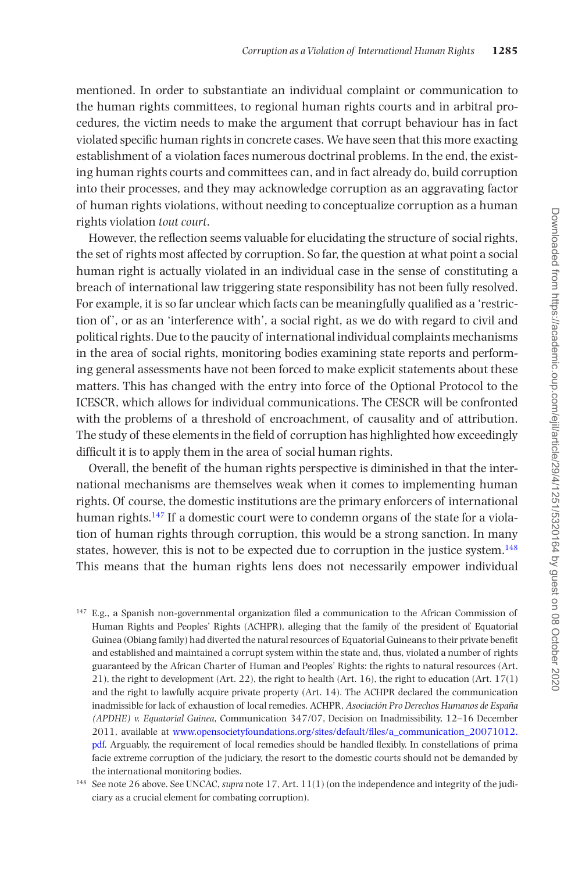mentioned. In order to substantiate an individual complaint or communication to the human rights committees, to regional human rights courts and in arbitral procedures, the victim needs to make the argument that corrupt behaviour has in fact violated specific human rights in concrete cases. We have seen that this more exacting establishment of a violation faces numerous doctrinal problems. In the end, the existing human rights courts and committees can, and in fact already do, build corruption into their processes, and they may acknowledge corruption as an aggravating factor of human rights violations, without needing to conceptualize corruption as a human rights violation *tout court*.

However, the reflection seems valuable for elucidating the structure of social rights, the set of rights most affected by corruption. So far, the question at what point a social human right is actually violated in an individual case in the sense of constituting a breach of international law triggering state responsibility has not been fully resolved. For example, it is so far unclear which facts can be meaningfully qualified as a 'restriction of ', or as an 'interference with', a social right, as we do with regard to civil and political rights. Due to the paucity of international individual complaints mechanisms in the area of social rights, monitoring bodies examining state reports and performing general assessments have not been forced to make explicit statements about these matters. This has changed with the entry into force of the Optional Protocol to the ICESCR, which allows for individual communications. The CESCR will be confronted with the problems of a threshold of encroachment, of causality and of attribution. The study of these elements in the field of corruption has highlighted how exceedingly difficult it is to apply them in the area of social human rights.

Overall, the benefit of the human rights perspective is diminished in that the international mechanisms are themselves weak when it comes to implementing human rights. Of course, the domestic institutions are the primary enforcers of international human rights.<sup>147</sup> If a domestic court were to condemn organs of the state for a violation of human rights through corruption, this would be a strong sanction. In many states, however, this is not to be expected due to corruption in the justice system.[148](#page-34-1) This means that the human rights lens does not necessarily empower individual

<span id="page-34-0"></span><sup>147</sup> E.g., a Spanish non-governmental organization filed a communication to the African Commission of Human Rights and Peoples' Rights (ACHPR), alleging that the family of the president of Equatorial Guinea (Obiang family) had diverted the natural resources of Equatorial Guineans to their private benefit and established and maintained a corrupt system within the state and, thus, violated a number of rights guaranteed by the African Charter of Human and Peoples' Rights: the rights to natural resources (Art. 21), the right to development (Art. 22), the right to health (Art. 16), the right to education (Art. 17(1) and the right to lawfully acquire private property (Art. 14). The ACHPR declared the communication inadmissible for lack of exhaustion of local remedies. ACHPR, *Asociación Pro Derechos Humanos de España (APDHE) v. Equatorial Guinea*, Communication 347/07, Decision on Inadmissibility, 12–16 December 2011, available at [www.opensocietyfoundations.org/sites/default/files/a\\_communication\\_20071012.](http://www.opensocietyfoundations.org/sites/default/files/a_communication_20071012.pdf) [pdf](http://www.opensocietyfoundations.org/sites/default/files/a_communication_20071012.pdf). Arguably, the requirement of local remedies should be handled flexibly. In constellations of prima facie extreme corruption of the judiciary, the resort to the domestic courts should not be demanded by the international monitoring bodies.

<span id="page-34-1"></span><sup>148</sup> See note 26 above. See UNCAC, *supra* note 17, Art. 11(1) (on the independence and integrity of the judiciary as a crucial element for combating corruption).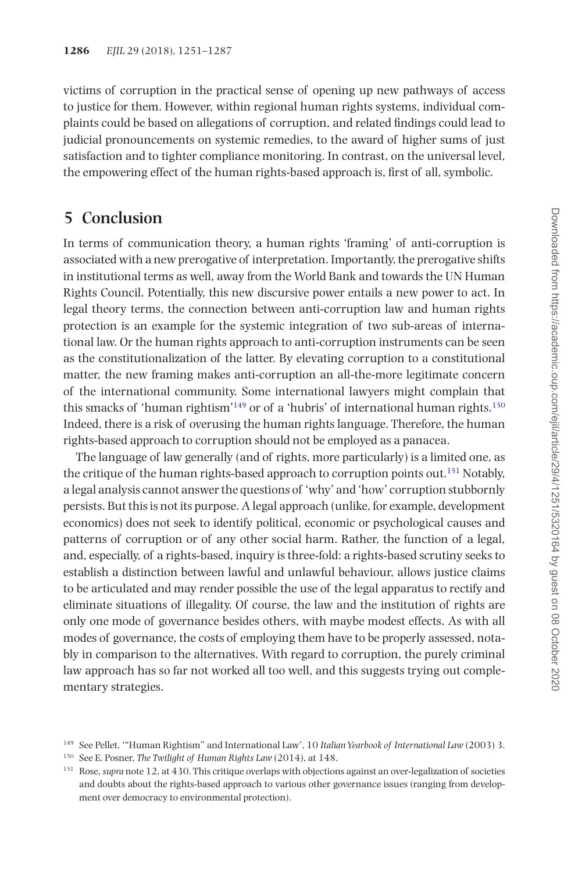victims of corruption in the practical sense of opening up new pathways of access to justice for them. However, within regional human rights systems, individual complaints could be based on allegations of corruption, and related findings could lead to judicial pronouncements on systemic remedies, to the award of higher sums of just satisfaction and to tighter compliance monitoring. In contrast, on the universal level, the empowering effect of the human rights-based approach is, first of all, symbolic.

# **5 Conclusion**

In terms of communication theory, a human rights 'framing' of anti-corruption is associated with a new prerogative of interpretation. Importantly, the prerogative shifts in institutional terms as well, away from the World Bank and towards the UN Human Rights Council. Potentially, this new discursive power entails a new power to act. In legal theory terms, the connection between anti-corruption law and human rights protection is an example for the systemic integration of two sub-areas of international law. Or the human rights approach to anti-corruption instruments can be seen as the constitutionalization of the latter. By elevating corruption to a constitutional matter, the new framing makes anti-corruption an all-the-more legitimate concern of the international community. Some international lawyers might complain that this smacks of 'human rightism'<sup>[149](#page-35-0)</sup> or of a 'hubris' of international human rights.<sup>150</sup> Indeed, there is a risk of overusing the human rights language. Therefore, the human rights-based approach to corruption should not be employed as a panacea.

The language of law generally (and of rights, more particularly) is a limited one, as the critique of the human rights-based approach to corruption points out.[151](#page-35-2) Notably, a legal analysis cannot answer the questions of 'why' and 'how' corruption stubbornly persists. But this is not its purpose. A legal approach (unlike, for example, development economics) does not seek to identify political, economic or psychological causes and patterns of corruption or of any other social harm. Rather, the function of a legal, and, especially, of a rights-based, inquiry is three-fold: a rights-based scrutiny seeks to establish a distinction between lawful and unlawful behaviour, allows justice claims to be articulated and may render possible the use of the legal apparatus to rectify and eliminate situations of illegality. Of course, the law and the institution of rights are only one mode of governance besides others, with maybe modest effects. As with all modes of governance, the costs of employing them have to be properly assessed, notably in comparison to the alternatives. With regard to corruption, the purely criminal law approach has so far not worked all too well, and this suggests trying out complementary strategies.

<span id="page-35-0"></span><sup>149</sup> See Pellet, '"Human Rightism" and International Law', 10 *Italian Yearbook of International Law* (2003) 3.

<span id="page-35-1"></span><sup>150</sup> See E. Posner, *The Twilight of Human Rights Law* (2014), at 148.

<span id="page-35-2"></span><sup>151</sup> Rose, *supra* note 12, at 430. This critique overlaps with objections against an over-legalization of societies and doubts about the rights-based approach to various other governance issues (ranging from development over democracy to environmental protection).